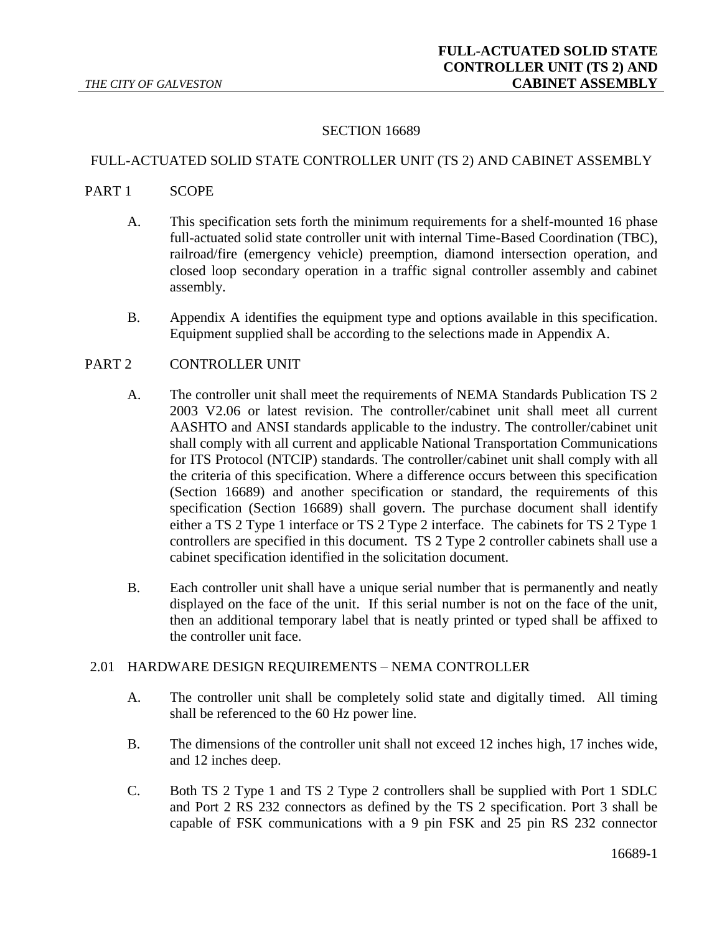### SECTION 16689

#### FULL-ACTUATED SOLID STATE CONTROLLER UNIT (TS 2) AND CABINET ASSEMBLY

#### PART 1 SCOPE

- A. This specification sets forth the minimum requirements for a shelf-mounted 16 phase full-actuated solid state controller unit with internal Time-Based Coordination (TBC), railroad/fire (emergency vehicle) preemption, diamond intersection operation, and closed loop secondary operation in a traffic signal controller assembly and cabinet assembly.
- B. Appendix A identifies the equipment type and options available in this specification. Equipment supplied shall be according to the selections made in Appendix A.

### PART 2 CONTROLLER UNIT

- A. The controller unit shall meet the requirements of NEMA Standards Publication TS 2 2003 V2.06 or latest revision. The controller/cabinet unit shall meet all current AASHTO and ANSI standards applicable to the industry. The controller/cabinet unit shall comply with all current and applicable National Transportation Communications for ITS Protocol (NTCIP) standards. The controller/cabinet unit shall comply with all the criteria of this specification. Where a difference occurs between this specification (Section 16689) and another specification or standard, the requirements of this specification (Section 16689) shall govern. The purchase document shall identify either a TS 2 Type 1 interface or TS 2 Type 2 interface. The cabinets for TS 2 Type 1 controllers are specified in this document. TS 2 Type 2 controller cabinets shall use a cabinet specification identified in the solicitation document.
- B. Each controller unit shall have a unique serial number that is permanently and neatly displayed on the face of the unit. If this serial number is not on the face of the unit, then an additional temporary label that is neatly printed or typed shall be affixed to the controller unit face.

#### 2.01 HARDWARE DESIGN REQUIREMENTS – NEMA CONTROLLER

- A. The controller unit shall be completely solid state and digitally timed. All timing shall be referenced to the 60 Hz power line.
- B. The dimensions of the controller unit shall not exceed 12 inches high, 17 inches wide, and 12 inches deep.
- C. Both TS 2 Type 1 and TS 2 Type 2 controllers shall be supplied with Port 1 SDLC and Port 2 RS 232 connectors as defined by the TS 2 specification. Port 3 shall be capable of FSK communications with a 9 pin FSK and 25 pin RS 232 connector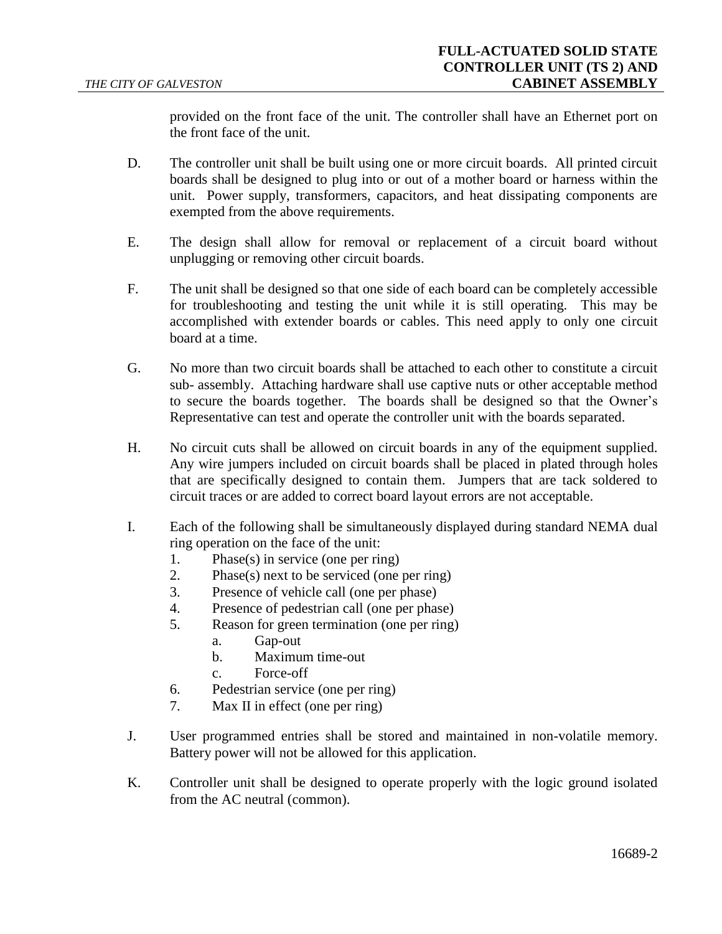provided on the front face of the unit. The controller shall have an Ethernet port on the front face of the unit.

- D. The controller unit shall be built using one or more circuit boards. All printed circuit boards shall be designed to plug into or out of a mother board or harness within the unit. Power supply, transformers, capacitors, and heat dissipating components are exempted from the above requirements.
- E. The design shall allow for removal or replacement of a circuit board without unplugging or removing other circuit boards.
- F. The unit shall be designed so that one side of each board can be completely accessible for troubleshooting and testing the unit while it is still operating. This may be accomplished with extender boards or cables. This need apply to only one circuit board at a time.
- G. No more than two circuit boards shall be attached to each other to constitute a circuit sub- assembly. Attaching hardware shall use captive nuts or other acceptable method to secure the boards together. The boards shall be designed so that the Owner's Representative can test and operate the controller unit with the boards separated.
- H. No circuit cuts shall be allowed on circuit boards in any of the equipment supplied. Any wire jumpers included on circuit boards shall be placed in plated through holes that are specifically designed to contain them. Jumpers that are tack soldered to circuit traces or are added to correct board layout errors are not acceptable.
- I. Each of the following shall be simultaneously displayed during standard NEMA dual ring operation on the face of the unit:
	- 1. Phase(s) in service (one per ring)
	- 2. Phase(s) next to be serviced (one per ring)
	- 3. Presence of vehicle call (one per phase)
	- 4. Presence of pedestrian call (one per phase)
	- 5. Reason for green termination (one per ring)
		- a. Gap-out
		- b. Maximum time-out
		- c. Force-off
	- 6. Pedestrian service (one per ring)
	- 7. Max II in effect (one per ring)
- J. User programmed entries shall be stored and maintained in non-volatile memory. Battery power will not be allowed for this application.
- K. Controller unit shall be designed to operate properly with the logic ground isolated from the AC neutral (common).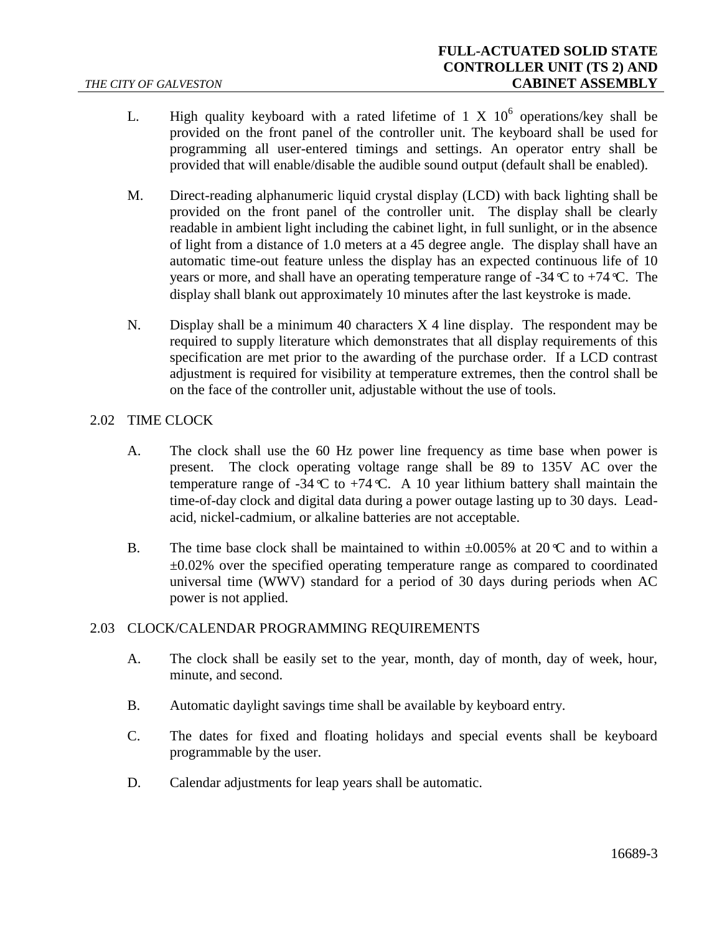- L. High quality keyboard with a rated lifetime of 1 X  $10^6$  operations/key shall be provided on the front panel of the controller unit. The keyboard shall be used for programming all user-entered timings and settings. An operator entry shall be provided that will enable/disable the audible sound output (default shall be enabled).
- M. Direct-reading alphanumeric liquid crystal display (LCD) with back lighting shall be provided on the front panel of the controller unit. The display shall be clearly readable in ambient light including the cabinet light, in full sunlight, or in the absence of light from a distance of 1.0 meters at a 45 degree angle. The display shall have an automatic time-out feature unless the display has an expected continuous life of 10 years or more, and shall have an operating temperature range of -34*°*C to +74*°*C. The display shall blank out approximately 10 minutes after the last keystroke is made.
- N. Display shall be a minimum 40 characters  $X$  4 line display. The respondent may be required to supply literature which demonstrates that all display requirements of this specification are met prior to the awarding of the purchase order. If a LCD contrast adjustment is required for visibility at temperature extremes, then the control shall be on the face of the controller unit, adjustable without the use of tools.

## 2.02 TIME CLOCK

- A. The clock shall use the 60 Hz power line frequency as time base when power is present. The clock operating voltage range shall be 89 to 135V AC over the temperature range of -34  $\mathbb C$  to +74  $\mathbb C$ . A 10 year lithium battery shall maintain the time-of-day clock and digital data during a power outage lasting up to 30 days. Leadacid, nickel-cadmium, or alkaline batteries are not acceptable.
- B. The time base clock shall be maintained to within  $\pm 0.005\%$  at 20<sup> $\degree$ </sup>C and to within a  $\pm 0.02\%$  over the specified operating temperature range as compared to coordinated universal time (WWV) standard for a period of 30 days during periods when AC power is not applied.

## 2.03 CLOCK/CALENDAR PROGRAMMING REQUIREMENTS

- A. The clock shall be easily set to the year, month, day of month, day of week, hour, minute, and second.
- B. Automatic daylight savings time shall be available by keyboard entry.
- C. The dates for fixed and floating holidays and special events shall be keyboard programmable by the user.
- D. Calendar adjustments for leap years shall be automatic.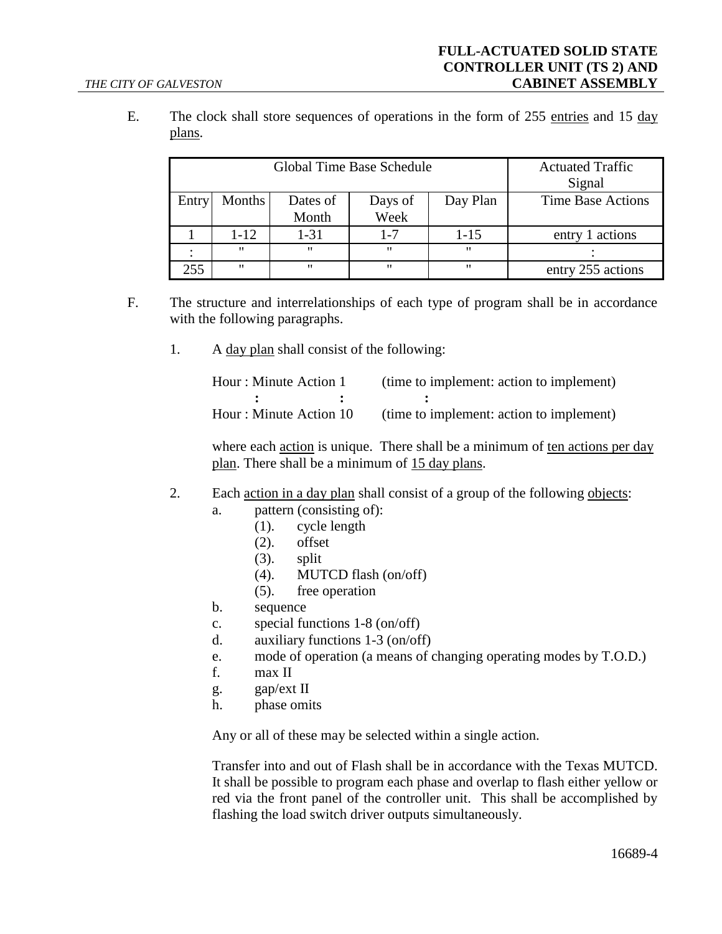E. The clock shall store sequences of operations in the form of 255 entries and 15 day plans.

| Global Time Base Schedule |                   |          |         | <b>Actuated Traffic</b><br>Signal |                          |
|---------------------------|-------------------|----------|---------|-----------------------------------|--------------------------|
| Entry                     | Months            | Dates of | Days of | Day Plan                          | <b>Time Base Actions</b> |
|                           |                   | Month    | Week    |                                   |                          |
|                           | $1 - 12$          | $1 - 31$ | $1 - 7$ | $1 - 15$                          | entry 1 actions          |
|                           | $^{\prime\prime}$ | "        | "       | "                                 |                          |
| 255                       | $^{\prime\prime}$ | "        | "       | $^{\prime\prime}$                 | entry 255 actions        |

- F. The structure and interrelationships of each type of program shall be in accordance with the following paragraphs.
	- 1. A day plan shall consist of the following:

| Hour: Minute Action 1  | (time to implement: action to implement) |
|------------------------|------------------------------------------|
|                        |                                          |
| Hour: Minute Action 10 | (time to implement: action to implement) |

where each action is unique. There shall be a minimum of ten actions per day plan. There shall be a minimum of 15 day plans.

- 2. Each action in a day plan shall consist of a group of the following objects:
	- a. pattern (consisting of):
		- (1). cycle length
		- (2). offset
		- (3). split
		- (4). MUTCD flash (on/off)
		- (5). free operation
	- b. sequence
	- c. special functions 1-8 (on/off)
	- d. auxiliary functions 1-3 (on/off)
	- e. mode of operation (a means of changing operating modes by T.O.D.)
	- f. max II
	- g. gap/ext II
	- h. phase omits

Any or all of these may be selected within a single action.

Transfer into and out of Flash shall be in accordance with the Texas MUTCD. It shall be possible to program each phase and overlap to flash either yellow or red via the front panel of the controller unit. This shall be accomplished by flashing the load switch driver outputs simultaneously.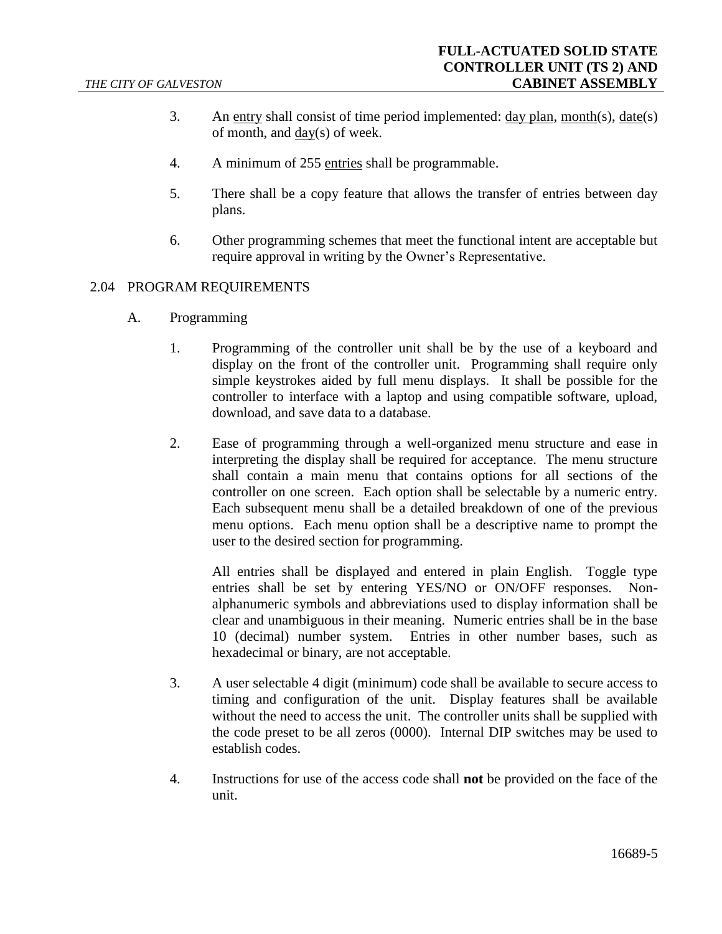- 3. An entry shall consist of time period implemented:  $\frac{day \text{ plan}}{day \text{ plan}}$ , month(s),  $\frac{date(s)}{day \text{ plan}}$ of month, and day(s) of week.
- 4. A minimum of 255 entries shall be programmable.
- 5. There shall be a copy feature that allows the transfer of entries between day plans.
- 6. Other programming schemes that meet the functional intent are acceptable but require approval in writing by the Owner's Representative.

#### 2.04 PROGRAM REQUIREMENTS

- A. Programming
	- 1. Programming of the controller unit shall be by the use of a keyboard and display on the front of the controller unit. Programming shall require only simple keystrokes aided by full menu displays. It shall be possible for the controller to interface with a laptop and using compatible software, upload, download, and save data to a database.
	- 2. Ease of programming through a well-organized menu structure and ease in interpreting the display shall be required for acceptance. The menu structure shall contain a main menu that contains options for all sections of the controller on one screen. Each option shall be selectable by a numeric entry. Each subsequent menu shall be a detailed breakdown of one of the previous menu options. Each menu option shall be a descriptive name to prompt the user to the desired section for programming.

All entries shall be displayed and entered in plain English. Toggle type entries shall be set by entering YES/NO or ON/OFF responses. Nonalphanumeric symbols and abbreviations used to display information shall be clear and unambiguous in their meaning. Numeric entries shall be in the base 10 (decimal) number system. Entries in other number bases, such as hexadecimal or binary, are not acceptable.

- 3. A user selectable 4 digit (minimum) code shall be available to secure access to timing and configuration of the unit. Display features shall be available without the need to access the unit. The controller units shall be supplied with the code preset to be all zeros (0000). Internal DIP switches may be used to establish codes.
- 4. Instructions for use of the access code shall **not** be provided on the face of the unit.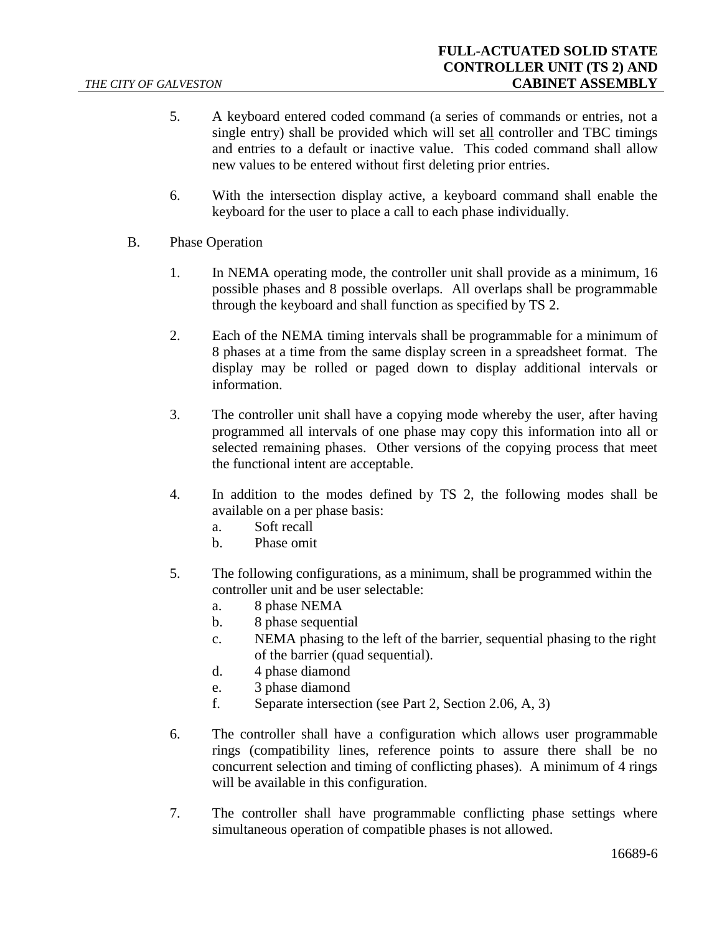- 5. A keyboard entered coded command (a series of commands or entries, not a single entry) shall be provided which will set all controller and TBC timings and entries to a default or inactive value. This coded command shall allow new values to be entered without first deleting prior entries.
- 6. With the intersection display active, a keyboard command shall enable the keyboard for the user to place a call to each phase individually.
- B. Phase Operation
	- 1. In NEMA operating mode, the controller unit shall provide as a minimum, 16 possible phases and 8 possible overlaps. All overlaps shall be programmable through the keyboard and shall function as specified by TS 2.
	- 2. Each of the NEMA timing intervals shall be programmable for a minimum of 8 phases at a time from the same display screen in a spreadsheet format. The display may be rolled or paged down to display additional intervals or information.
	- 3. The controller unit shall have a copying mode whereby the user, after having programmed all intervals of one phase may copy this information into all or selected remaining phases. Other versions of the copying process that meet the functional intent are acceptable.
	- 4. In addition to the modes defined by TS 2, the following modes shall be available on a per phase basis:
		- a. Soft recall
		- b. Phase omit
	- 5. The following configurations, as a minimum, shall be programmed within the controller unit and be user selectable:
		- a. 8 phase NEMA
		- b. 8 phase sequential
		- c. NEMA phasing to the left of the barrier, sequential phasing to the right of the barrier (quad sequential).
		- d. 4 phase diamond
		- e. 3 phase diamond
		- f. Separate intersection (see [Part 2, Section 2.06, A, 3\)](#page-10-0)
	- 6. The controller shall have a configuration which allows user programmable rings (compatibility lines, reference points to assure there shall be no concurrent selection and timing of conflicting phases). A minimum of 4 rings will be available in this configuration.
	- 7. The controller shall have programmable conflicting phase settings where simultaneous operation of compatible phases is not allowed.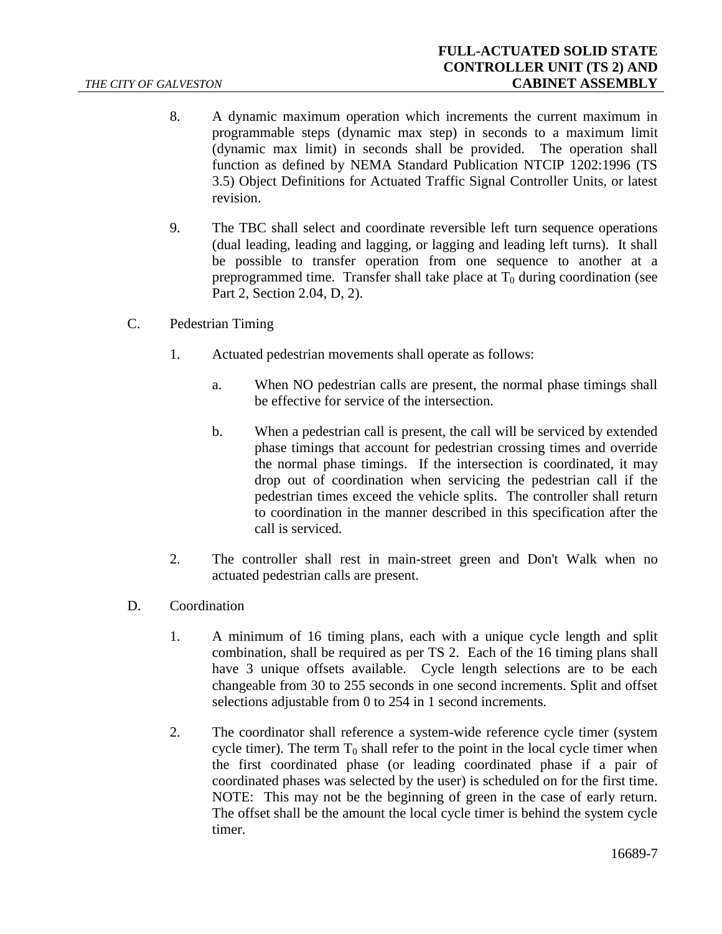- 8. A dynamic maximum operation which increments the current maximum in programmable steps (dynamic max step) in seconds to a maximum limit (dynamic max limit) in seconds shall be provided. The operation shall function as defined by NEMA Standard Publication NTCIP 1202:1996 (TS 3.5) Object Definitions for Actuated Traffic Signal Controller Units, or latest revision.
- 9. The TBC shall select and coordinate reversible left turn sequence operations (dual leading, leading and lagging, or lagging and leading left turns). It shall be possible to transfer operation from one sequence to another at a preprogrammed time. Transfer shall take place at  $T_0$  during coordination (see [Part 2, Section 2.04, D, 2\)](#page-6-0).
- C. Pedestrian Timing
	- 1. Actuated pedestrian movements shall operate as follows:
		- a. When NO pedestrian calls are present, the normal phase timings shall be effective for service of the intersection.
		- b. When a pedestrian call is present, the call will be serviced by extended phase timings that account for pedestrian crossing times and override the normal phase timings. If the intersection is coordinated, it may drop out of coordination when servicing the pedestrian call if the pedestrian times exceed the vehicle splits. The controller shall return to coordination in the manner described in this specification after the call is serviced.
	- 2. The controller shall rest in main-street green and Don't Walk when no actuated pedestrian calls are present.
- <span id="page-6-0"></span>D. Coordination
	- 1. A minimum of 16 timing plans, each with a unique cycle length and split combination, shall be required as per TS 2. Each of the 16 timing plans shall have 3 unique offsets available. Cycle length selections are to be each changeable from 30 to 255 seconds in one second increments. Split and offset selections adjustable from 0 to 254 in 1 second increments.
	- 2. The coordinator shall reference a system-wide reference cycle timer (system cycle timer). The term  $T_0$  shall refer to the point in the local cycle timer when the first coordinated phase (or leading coordinated phase if a pair of coordinated phases was selected by the user) is scheduled on for the first time. NOTE: This may not be the beginning of green in the case of early return. The offset shall be the amount the local cycle timer is behind the system cycle timer.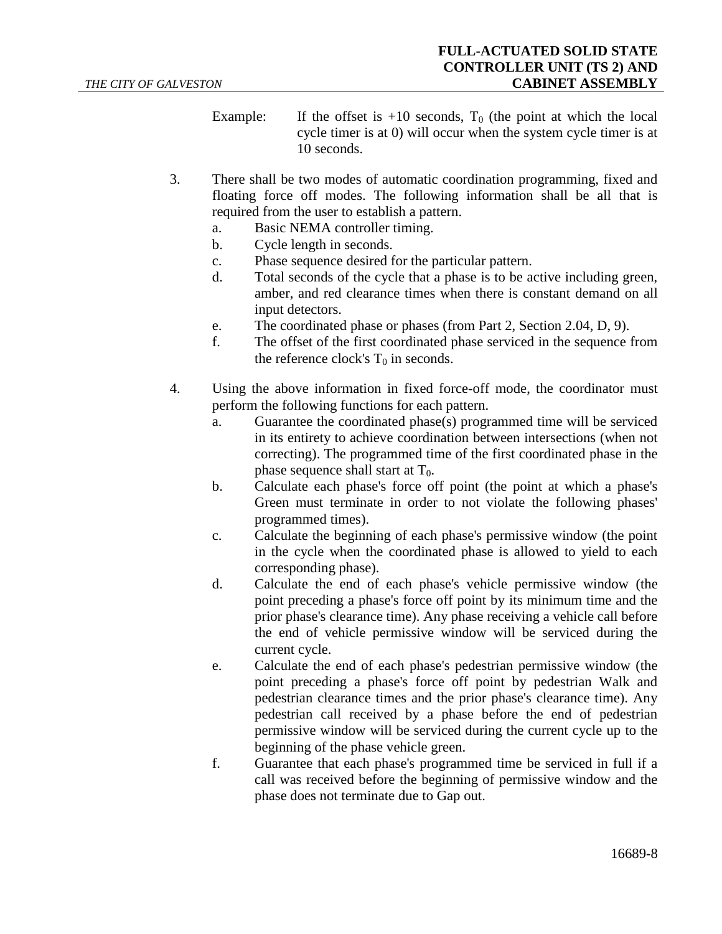Example: If the offset is  $+10$  seconds,  $T_0$  (the point at which the local cycle timer is at 0) will occur when the system cycle timer is at 10 seconds.

- 3. There shall be two modes of automatic coordination programming, fixed and floating force off modes. The following information shall be all that is required from the user to establish a pattern.
	- a. Basic NEMA controller timing.
	- b. Cycle length in seconds.
	- c. Phase sequence desired for the particular pattern.
	- d. Total seconds of the cycle that a phase is to be active including green, amber, and red clearance times when there is constant demand on all input detectors.
	- e. The coordinated phase or phases (from Part 2, Section 2.04, D, 9).
	- f. The offset of the first coordinated phase serviced in the sequence from the reference clock's  $T_0$  in seconds.
- 4. Using the above information in fixed force-off mode, the coordinator must perform the following functions for each pattern.
	- a. Guarantee the coordinated phase(s) programmed time will be serviced in its entirety to achieve coordination between intersections (when not correcting). The programmed time of the first coordinated phase in the phase sequence shall start at  $T_0$ .
	- b. Calculate each phase's force off point (the point at which a phase's Green must terminate in order to not violate the following phases' programmed times).
	- c. Calculate the beginning of each phase's permissive window (the point in the cycle when the coordinated phase is allowed to yield to each corresponding phase).
	- d. Calculate the end of each phase's vehicle permissive window (the point preceding a phase's force off point by its minimum time and the prior phase's clearance time). Any phase receiving a vehicle call before the end of vehicle permissive window will be serviced during the current cycle.
	- e. Calculate the end of each phase's pedestrian permissive window (the point preceding a phase's force off point by pedestrian Walk and pedestrian clearance times and the prior phase's clearance time). Any pedestrian call received by a phase before the end of pedestrian permissive window will be serviced during the current cycle up to the beginning of the phase vehicle green.
	- f. Guarantee that each phase's programmed time be serviced in full if a call was received before the beginning of permissive window and the phase does not terminate due to Gap out.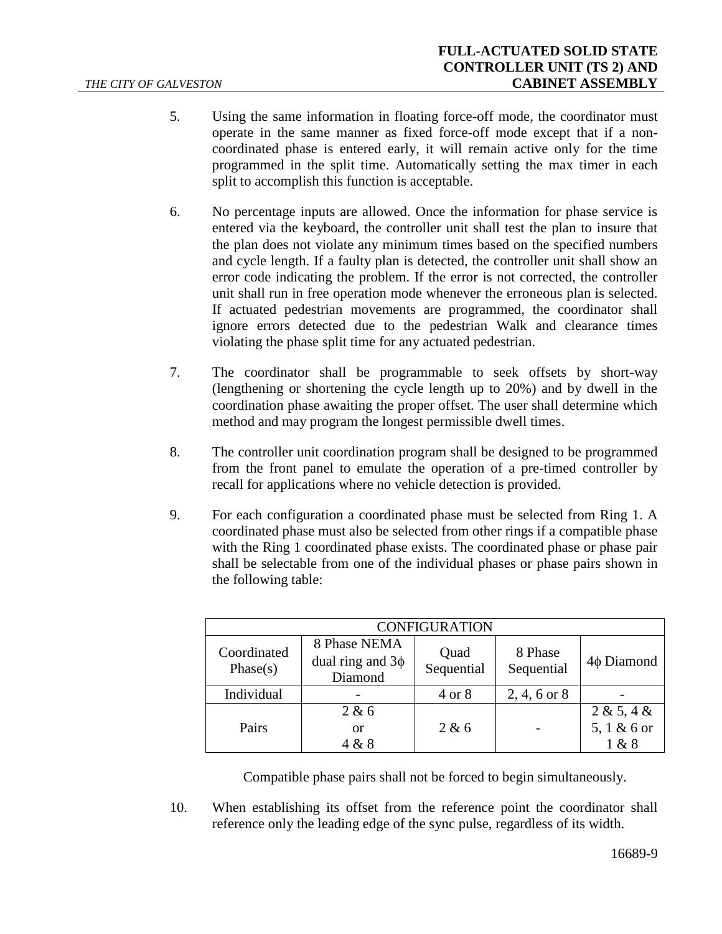- 5. Using the same information in floating force-off mode, the coordinator must operate in the same manner as fixed force-off mode except that if a noncoordinated phase is entered early, it will remain active only for the time programmed in the split time. Automatically setting the max timer in each split to accomplish this function is acceptable.
- 6. No percentage inputs are allowed. Once the information for phase service is entered via the keyboard, the controller unit shall test the plan to insure that the plan does not violate any minimum times based on the specified numbers and cycle length. If a faulty plan is detected, the controller unit shall show an error code indicating the problem. If the error is not corrected, the controller unit shall run in free operation mode whenever the erroneous plan is selected. If actuated pedestrian movements are programmed, the coordinator shall ignore errors detected due to the pedestrian Walk and clearance times violating the phase split time for any actuated pedestrian.
- 7. The coordinator shall be programmable to seek offsets by short-way (lengthening or shortening the cycle length up to 20%) and by dwell in the coordination phase awaiting the proper offset. The user shall determine which method and may program the longest permissible dwell times.
- 8. The controller unit coordination program shall be designed to be programmed from the front panel to emulate the operation of a pre-timed controller by recall for applications where no vehicle detection is provided.
- 9. For each configuration a coordinated phase must be selected from Ring 1. A coordinated phase must also be selected from other rings if a compatible phase with the Ring 1 coordinated phase exists. The coordinated phase or phase pair shall be selectable from one of the individual phases or phase pairs shown in the following table:

| <b>CONFIGURATION</b>    |                                                  |                    |                       |                                    |  |
|-------------------------|--------------------------------------------------|--------------------|-----------------------|------------------------------------|--|
| Coordinated<br>Phase(s) | 8 Phase NEMA<br>dual ring and $3\phi$<br>Diamond | Quad<br>Sequential | 8 Phase<br>Sequential | $4\phi$ Diamond                    |  |
| Individual              |                                                  | 4 or 8             | $2, 4, 6$ or $8$      |                                    |  |
| Pairs                   | 2 & 6<br>or<br>4 & 8                             | 2 & 6              |                       | 2 & 5, 4 &<br>5, 1 & 6 or<br>1 & 8 |  |

Compatible phase pairs shall not be forced to begin simultaneously.

10. When establishing its offset from the reference point the coordinator shall reference only the leading edge of the sync pulse, regardless of its width.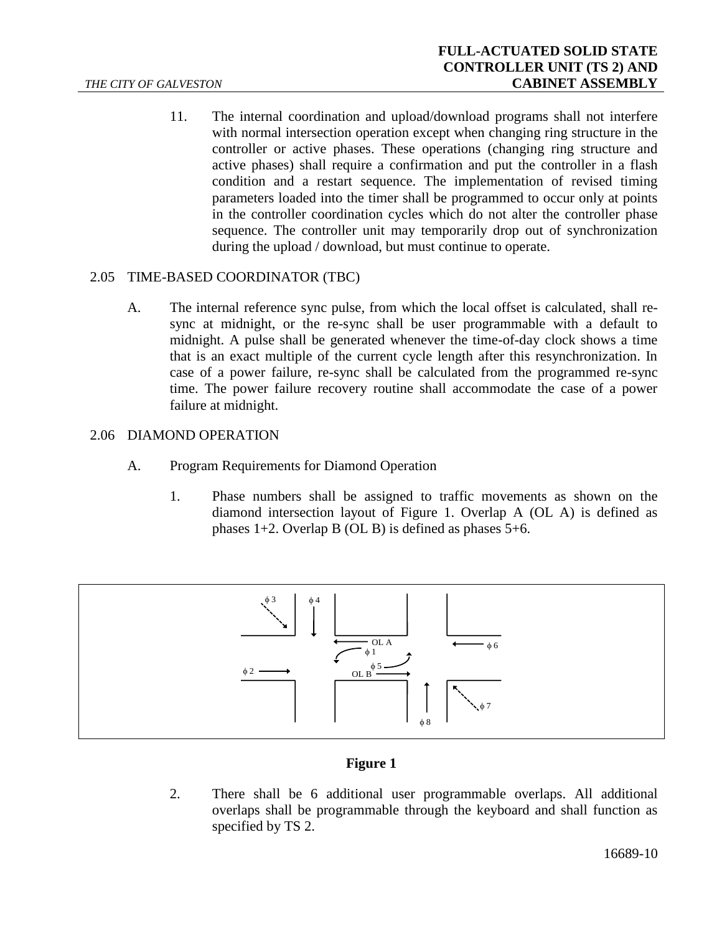11. The internal coordination and upload/download programs shall not interfere with normal intersection operation except when changing ring structure in the controller or active phases. These operations (changing ring structure and active phases) shall require a confirmation and put the controller in a flash condition and a restart sequence. The implementation of revised timing parameters loaded into the timer shall be programmed to occur only at points in the controller coordination cycles which do not alter the controller phase sequence. The controller unit may temporarily drop out of synchronization during the upload / download, but must continue to operate.

## 2.05 TIME-BASED COORDINATOR (TBC)

A. The internal reference sync pulse, from which the local offset is calculated, shall resync at midnight, or the re-sync shall be user programmable with a default to midnight. A pulse shall be generated whenever the time-of-day clock shows a time that is an exact multiple of the current cycle length after this resynchronization. In case of a power failure, re-sync shall be calculated from the programmed re-sync time. The power failure recovery routine shall accommodate the case of a power failure at midnight.

## 2.06 DIAMOND OPERATION

- A. Program Requirements for Diamond Operation
	- 1. Phase numbers shall be assigned to traffic movements as shown on the diamond intersection layout of Figure 1. Overlap A (OL A) is defined as phases  $1+2$ . Overlap B (OL B) is defined as phases  $5+6$ .



## **Figure 1**

2. There shall be 6 additional user programmable overlaps. All additional overlaps shall be programmable through the keyboard and shall function as specified by TS 2.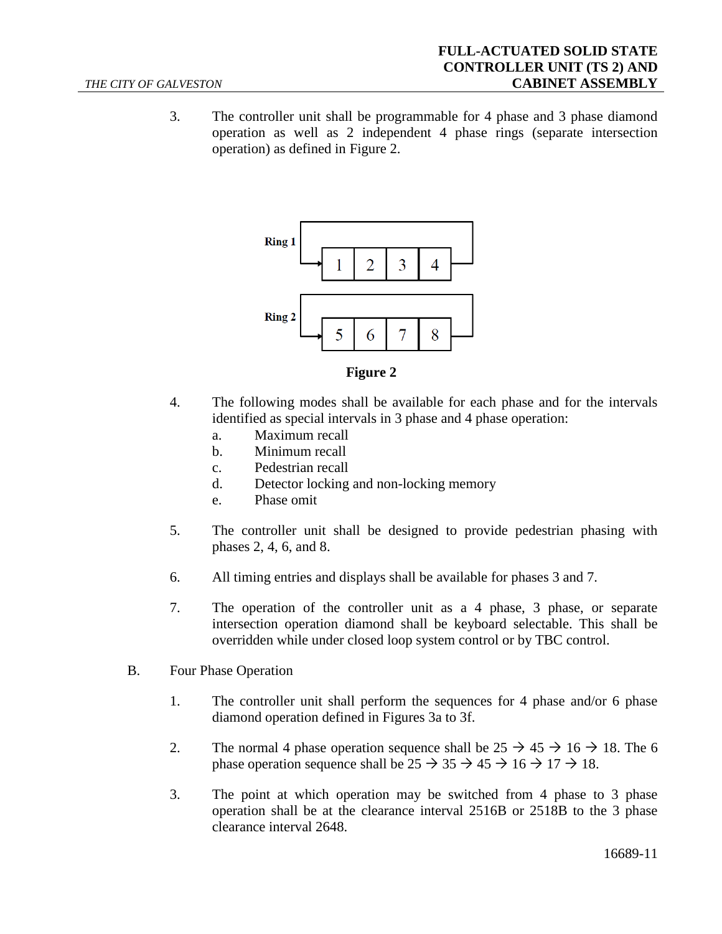<span id="page-10-0"></span>3. The controller unit shall be programmable for 4 phase and 3 phase diamond operation as well as 2 independent 4 phase rings (separate intersection operation) as defined in Figure 2.





- 4. The following modes shall be available for each phase and for the intervals identified as special intervals in 3 phase and 4 phase operation:
	- a. Maximum recall
	- b. Minimum recall
	- c. Pedestrian recall
	- d. Detector locking and non-locking memory
	- e. Phase omit
- 5. The controller unit shall be designed to provide pedestrian phasing with phases 2, 4, 6, and 8.
- 6. All timing entries and displays shall be available for phases 3 and 7.
- 7. The operation of the controller unit as a 4 phase, 3 phase, or separate intersection operation diamond shall be keyboard selectable. This shall be overridden while under closed loop system control or by TBC control.
- B. Four Phase Operation
	- 1. The controller unit shall perform the sequences for 4 phase and/or 6 phase diamond operation defined in Figures 3a to 3f.
	- 2. The normal 4 phase operation sequence shall be  $25 \rightarrow 45 \rightarrow 16 \rightarrow 18$ . The 6 phase operation sequence shall be  $25 \rightarrow 35 \rightarrow 45 \rightarrow 16 \rightarrow 17 \rightarrow 18$ .
	- 3. The point at which operation may be switched from 4 phase to 3 phase operation shall be at the clearance interval 2516B or 2518B to the 3 phase clearance interval 2648.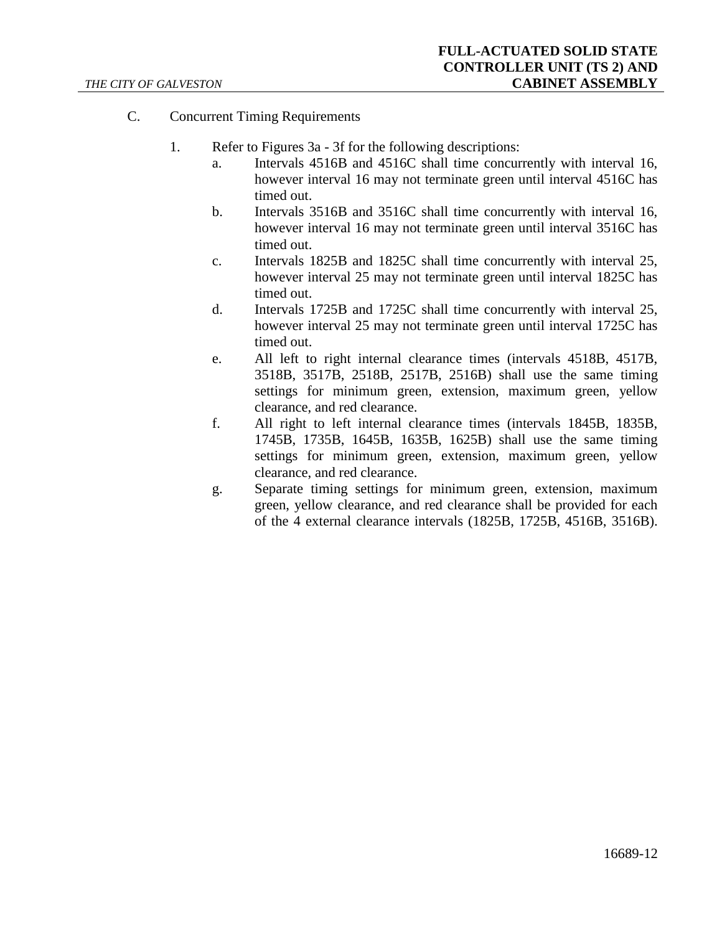- C. Concurrent Timing Requirements
	- 1. Refer to Figures 3a 3f for the following descriptions:
		- a. Intervals 4516B and 4516C shall time concurrently with interval 16, however interval 16 may not terminate green until interval 4516C has timed out.
		- b. Intervals 3516B and 3516C shall time concurrently with interval 16, however interval 16 may not terminate green until interval 3516C has timed out.
		- c. Intervals 1825B and 1825C shall time concurrently with interval 25, however interval 25 may not terminate green until interval 1825C has timed out.
		- d. Intervals 1725B and 1725C shall time concurrently with interval 25, however interval 25 may not terminate green until interval 1725C has timed out.
		- e. All left to right internal clearance times (intervals 4518B, 4517B, 3518B, 3517B, 2518B, 2517B, 2516B) shall use the same timing settings for minimum green, extension, maximum green, yellow clearance, and red clearance.
		- f. All right to left internal clearance times (intervals 1845B, 1835B, 1745B, 1735B, 1645B, 1635B, 1625B) shall use the same timing settings for minimum green, extension, maximum green, yellow clearance, and red clearance.
		- g. Separate timing settings for minimum green, extension, maximum green, yellow clearance, and red clearance shall be provided for each of the 4 external clearance intervals (1825B, 1725B, 4516B, 3516B).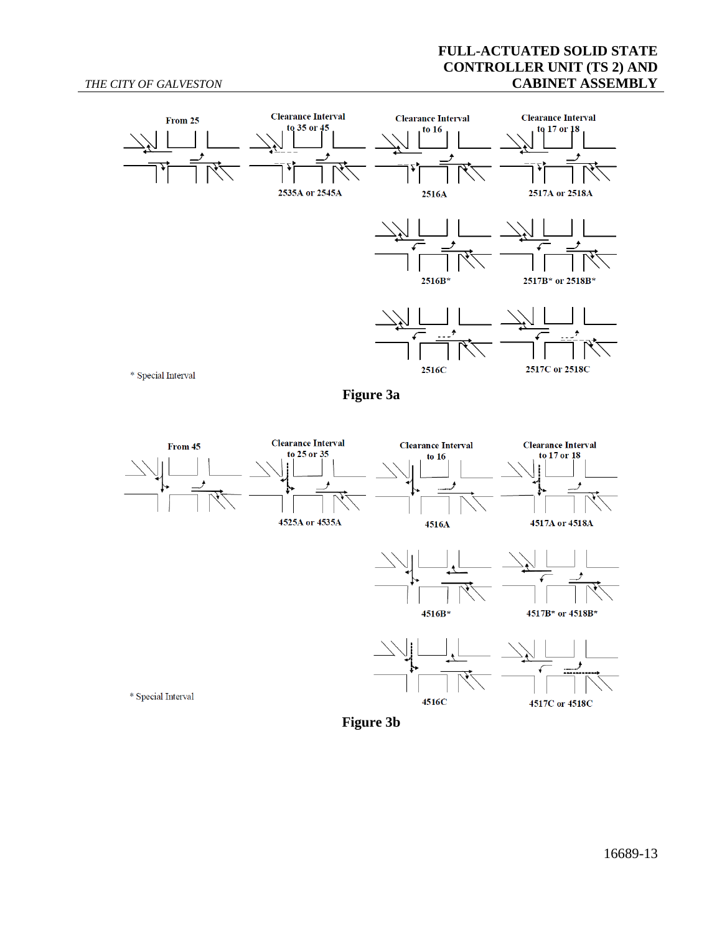#### *THE CITY OF GALVESTON*

## **FULL-ACTUATED SOLID STATE CONTROLLER UNIT (TS 2) AND CABINET ASSEMBLY**



**Figure 3a**



**Figure 3b**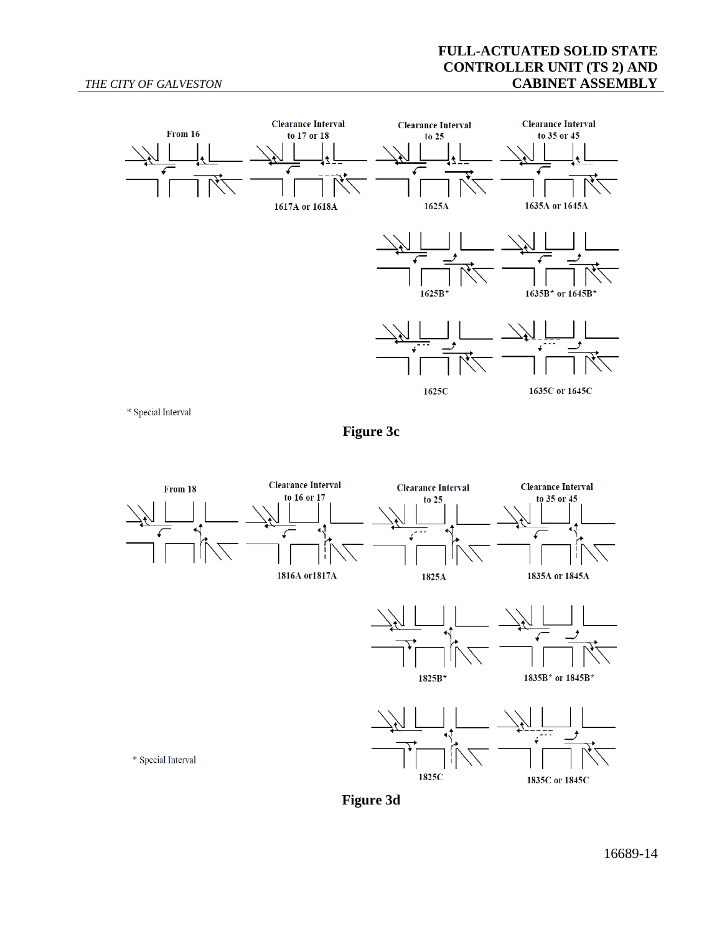## **FULL-ACTUATED SOLID STATE CONTROLLER UNIT (TS 2) AND CABINET ASSEMBLY**



\* Special Interval

**Figure 3c**



**Figure 3d**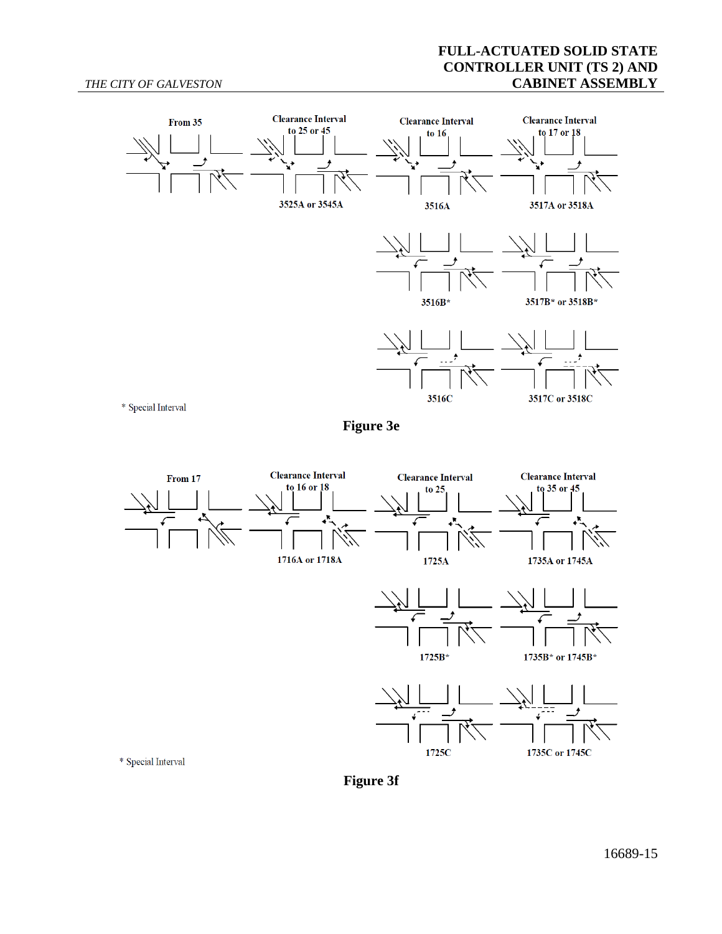## **FULL-ACTUATED SOLID STATE CONTROLLER UNIT (TS 2) AND CABINET ASSEMBLY**



**Figure 3e**

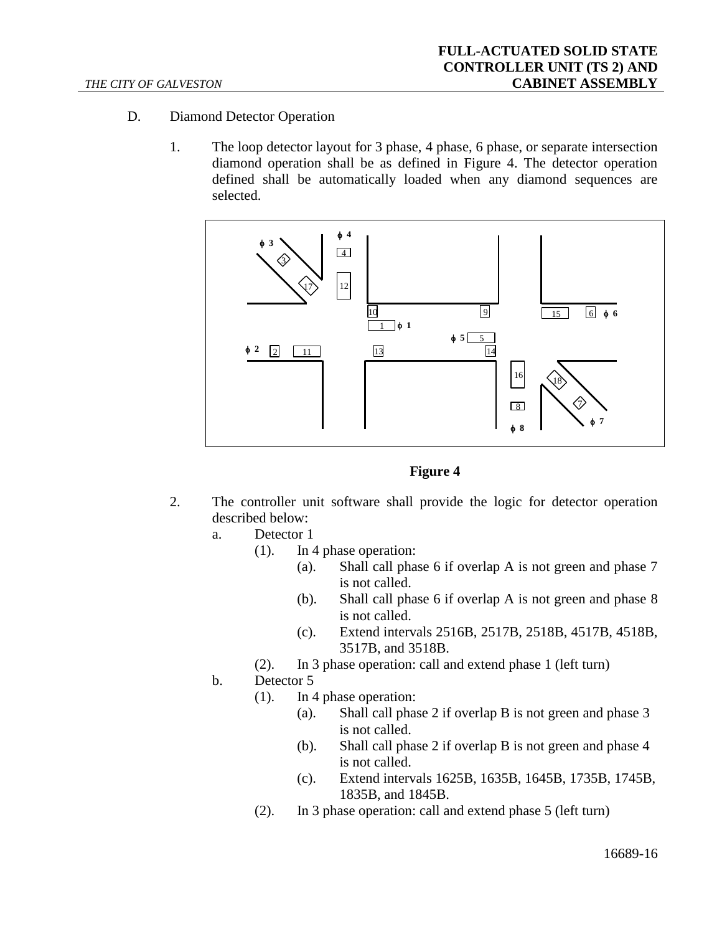- D. Diamond Detector Operation
	- 1. The loop detector layout for 3 phase, 4 phase, 6 phase, or separate intersection diamond operation shall be as defined in Figure 4. The detector operation defined shall be automatically loaded when any diamond sequences are selected.



**Figure 4**

- 2. The controller unit software shall provide the logic for detector operation described below:
	- a. Detector 1
		- (1). In 4 phase operation:
			- (a). Shall call phase 6 if overlap A is not green and phase 7 is not called.
			- (b). Shall call phase 6 if overlap A is not green and phase 8 is not called.
			- (c). Extend intervals 2516B, 2517B, 2518B, 4517B, 4518B, 3517B, and 3518B.
		- (2). In 3 phase operation: call and extend phase 1 (left turn)
	- b. Detector 5
		- (1). In 4 phase operation:
			- (a). Shall call phase 2 if overlap B is not green and phase 3 is not called.
			- (b). Shall call phase 2 if overlap B is not green and phase 4 is not called.
			- (c). Extend intervals 1625B, 1635B, 1645B, 1735B, 1745B, 1835B, and 1845B.
		- (2). In 3 phase operation: call and extend phase 5 (left turn)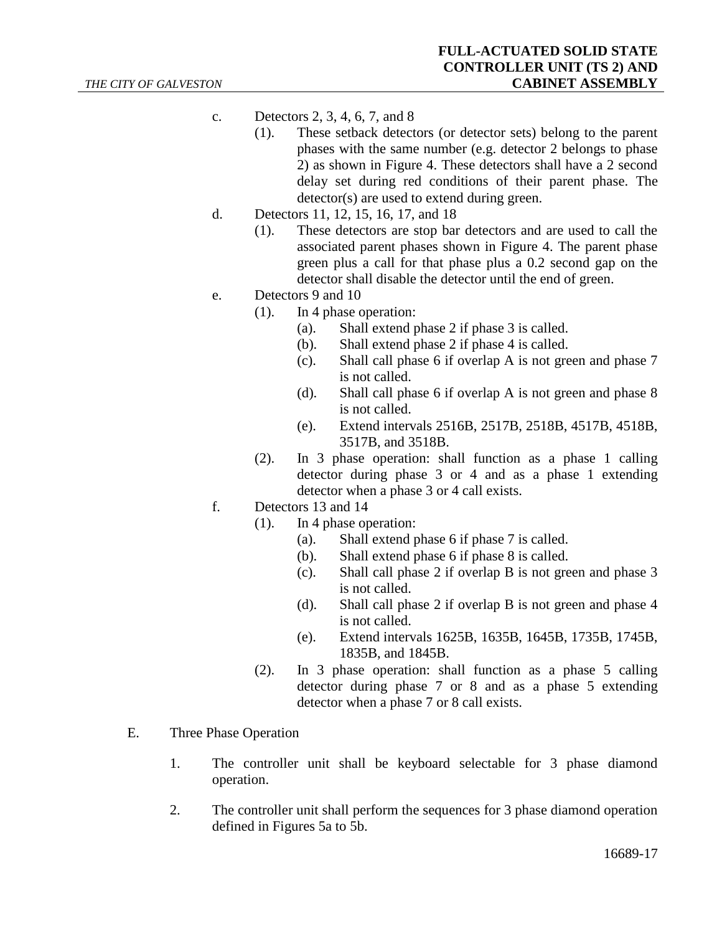- c. Detectors 2, 3, 4, 6, 7, and 8
	- (1). These setback detectors (or detector sets) belong to the parent phases with the same number (e.g. detector 2 belongs to phase 2) as shown in Figure 4. These detectors shall have a 2 second delay set during red conditions of their parent phase. The detector(s) are used to extend during green.
- d. Detectors 11, 12, 15, 16, 17, and 18
	- (1). These detectors are stop bar detectors and are used to call the associated parent phases shown in Figure 4. The parent phase green plus a call for that phase plus a 0.2 second gap on the detector shall disable the detector until the end of green.
- e. Detectors 9 and 10
	- (1). In 4 phase operation:
		- (a). Shall extend phase 2 if phase 3 is called.
		- (b). Shall extend phase 2 if phase 4 is called.
		- (c). Shall call phase 6 if overlap A is not green and phase 7 is not called.
		- (d). Shall call phase 6 if overlap A is not green and phase 8 is not called.
		- (e). Extend intervals 2516B, 2517B, 2518B, 4517B, 4518B, 3517B, and 3518B.
	- (2). In 3 phase operation: shall function as a phase 1 calling detector during phase 3 or 4 and as a phase 1 extending detector when a phase 3 or 4 call exists.
- f. Detectors 13 and 14
	- (1). In 4 phase operation:
		- (a). Shall extend phase 6 if phase 7 is called.
		- (b). Shall extend phase 6 if phase 8 is called.
		- (c). Shall call phase 2 if overlap B is not green and phase 3 is not called.
		- (d). Shall call phase 2 if overlap B is not green and phase 4 is not called.
		- (e). Extend intervals 1625B, 1635B, 1645B, 1735B, 1745B, 1835B, and 1845B.
	- (2). In 3 phase operation: shall function as a phase 5 calling detector during phase 7 or 8 and as a phase 5 extending detector when a phase 7 or 8 call exists.
- E. Three Phase Operation
	- 1. The controller unit shall be keyboard selectable for 3 phase diamond operation.
	- 2. The controller unit shall perform the sequences for 3 phase diamond operation defined in Figures 5a to 5b.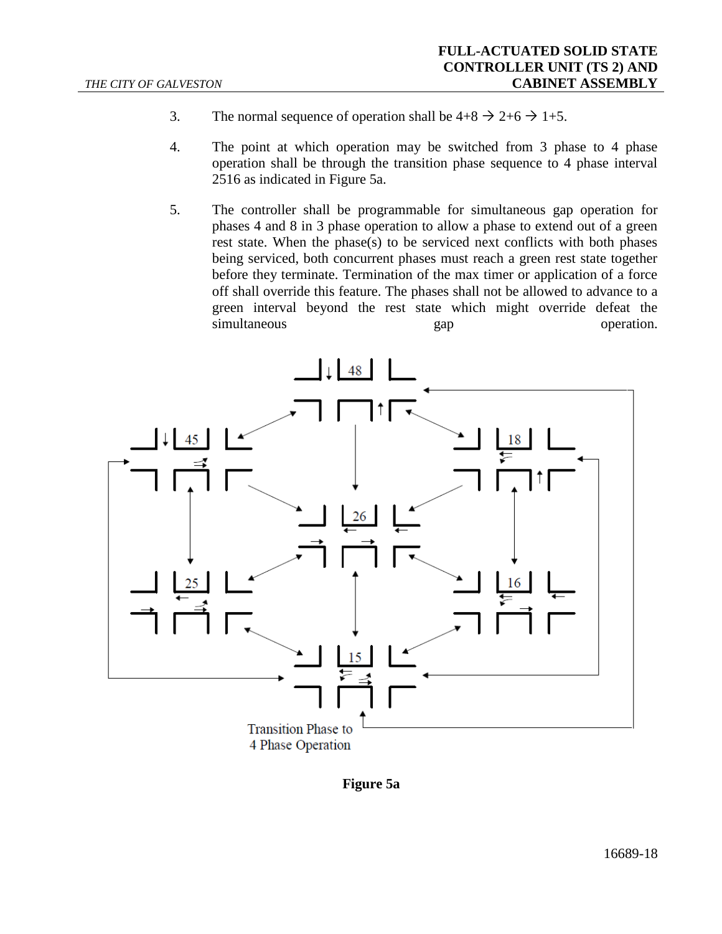- 3. The normal sequence of operation shall be  $4+8 \rightarrow 2+6 \rightarrow 1+5$ .
- 4. The point at which operation may be switched from 3 phase to 4 phase operation shall be through the transition phase sequence to 4 phase interval 2516 as indicated in Figure 5a.
- 5. The controller shall be programmable for simultaneous gap operation for phases 4 and 8 in 3 phase operation to allow a phase to extend out of a green rest state. When the phase(s) to be serviced next conflicts with both phases being serviced, both concurrent phases must reach a green rest state together before they terminate. Termination of the max timer or application of a force off shall override this feature. The phases shall not be allowed to advance to a green interval beyond the rest state which might override defeat the simultaneous gap operation.



**Figure 5a**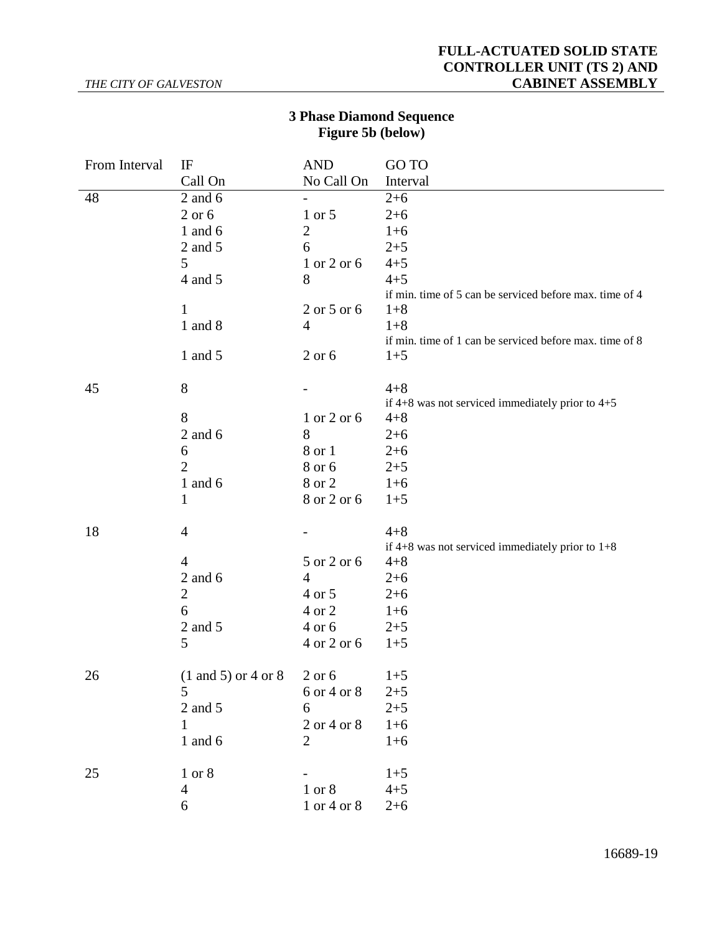#### *THE CITY OF GALVESTON*

## **FULL-ACTUATED SOLID STATE CONTROLLER UNIT (TS 2) AND CABINET ASSEMBLY**

# **3 Phase Diamond Sequence Figure 5b (below)**

| Call On<br>No Call On<br>Interval<br>48<br>$2$ and $6$<br>$2 + 6$<br>$\qquad \qquad -$<br>$2$ or $6$<br>1 or 5<br>$2 + 6$<br>$\overline{c}$<br>1 and $6$<br>$1+6$<br>2 and 5<br>6<br>$2 + 5$<br>5<br>$4 + 5$<br>1 or 2 or 6<br>$4 + 5$<br>4 and 5<br>8<br>if min. time of 5 can be serviced before max. time of 4<br>1<br>2 or 5 or 6<br>$1 + 8$<br>1 and 8<br>$1 + 8$<br>$\overline{4}$<br>if min. time of 1 can be serviced before max. time of 8<br>2 or 6<br>1 and 5<br>$1 + 5$<br>8<br>45<br>$4 + 8$<br>if $4+8$ was not serviced immediately prior to $4+5$<br>8<br>$4 + 8$<br>1 or 2 or 6<br>$2$ and $6$<br>8<br>$2 + 6$<br>8 or 1<br>$2 + 6$<br>6<br>$\overline{2}$<br>8 or 6<br>$2 + 5$<br>8 or 2<br>1 and $6$<br>$1 + 6$<br>8 or 2 or 6<br>1<br>$1+5$<br>18<br>$4 + 8$<br>$\overline{4}$<br>if $4+8$ was not serviced immediately prior to $1+8$<br>5 or 2 or 6<br>4<br>$4 + 8$<br>$2$ and $6$<br>$\overline{4}$<br>$2+6$<br>$\overline{2}$<br>4 or 5<br>$2 + 6$<br>6<br>4 or 2<br>$1+6$<br>2 and 5<br>4 or 6<br>$2 + 5$<br>5<br>4 or 2 or 6<br>$1+5$<br>$(1 \text{ and } 5)$ or 4 or 8<br>26<br>$2$ or $6$<br>$1 + 5$<br>6 or 4 or 8<br>$2 + 5$<br>5<br>$2 + 5$<br>2 and 5<br>6<br>2 or 4 or 8<br>$1+6$<br>$\mathbf{1}$<br>1 and 6<br>$\overline{2}$<br>$1 + 6$<br>25<br>1 or 8<br>$1+5$ | From Interval | IF | <b>AND</b> | GO TO   |
|-----------------------------------------------------------------------------------------------------------------------------------------------------------------------------------------------------------------------------------------------------------------------------------------------------------------------------------------------------------------------------------------------------------------------------------------------------------------------------------------------------------------------------------------------------------------------------------------------------------------------------------------------------------------------------------------------------------------------------------------------------------------------------------------------------------------------------------------------------------------------------------------------------------------------------------------------------------------------------------------------------------------------------------------------------------------------------------------------------------------------------------------------------------------------------------------------------------------------------------------------------------------------------------------------------|---------------|----|------------|---------|
|                                                                                                                                                                                                                                                                                                                                                                                                                                                                                                                                                                                                                                                                                                                                                                                                                                                                                                                                                                                                                                                                                                                                                                                                                                                                                                     |               |    |            |         |
|                                                                                                                                                                                                                                                                                                                                                                                                                                                                                                                                                                                                                                                                                                                                                                                                                                                                                                                                                                                                                                                                                                                                                                                                                                                                                                     |               |    |            |         |
|                                                                                                                                                                                                                                                                                                                                                                                                                                                                                                                                                                                                                                                                                                                                                                                                                                                                                                                                                                                                                                                                                                                                                                                                                                                                                                     |               |    |            |         |
|                                                                                                                                                                                                                                                                                                                                                                                                                                                                                                                                                                                                                                                                                                                                                                                                                                                                                                                                                                                                                                                                                                                                                                                                                                                                                                     |               |    |            |         |
|                                                                                                                                                                                                                                                                                                                                                                                                                                                                                                                                                                                                                                                                                                                                                                                                                                                                                                                                                                                                                                                                                                                                                                                                                                                                                                     |               |    |            |         |
|                                                                                                                                                                                                                                                                                                                                                                                                                                                                                                                                                                                                                                                                                                                                                                                                                                                                                                                                                                                                                                                                                                                                                                                                                                                                                                     |               |    |            |         |
|                                                                                                                                                                                                                                                                                                                                                                                                                                                                                                                                                                                                                                                                                                                                                                                                                                                                                                                                                                                                                                                                                                                                                                                                                                                                                                     |               |    |            |         |
|                                                                                                                                                                                                                                                                                                                                                                                                                                                                                                                                                                                                                                                                                                                                                                                                                                                                                                                                                                                                                                                                                                                                                                                                                                                                                                     |               |    |            |         |
|                                                                                                                                                                                                                                                                                                                                                                                                                                                                                                                                                                                                                                                                                                                                                                                                                                                                                                                                                                                                                                                                                                                                                                                                                                                                                                     |               |    |            |         |
|                                                                                                                                                                                                                                                                                                                                                                                                                                                                                                                                                                                                                                                                                                                                                                                                                                                                                                                                                                                                                                                                                                                                                                                                                                                                                                     |               |    |            |         |
|                                                                                                                                                                                                                                                                                                                                                                                                                                                                                                                                                                                                                                                                                                                                                                                                                                                                                                                                                                                                                                                                                                                                                                                                                                                                                                     |               |    |            |         |
|                                                                                                                                                                                                                                                                                                                                                                                                                                                                                                                                                                                                                                                                                                                                                                                                                                                                                                                                                                                                                                                                                                                                                                                                                                                                                                     |               |    |            |         |
|                                                                                                                                                                                                                                                                                                                                                                                                                                                                                                                                                                                                                                                                                                                                                                                                                                                                                                                                                                                                                                                                                                                                                                                                                                                                                                     |               |    |            |         |
|                                                                                                                                                                                                                                                                                                                                                                                                                                                                                                                                                                                                                                                                                                                                                                                                                                                                                                                                                                                                                                                                                                                                                                                                                                                                                                     |               |    |            |         |
|                                                                                                                                                                                                                                                                                                                                                                                                                                                                                                                                                                                                                                                                                                                                                                                                                                                                                                                                                                                                                                                                                                                                                                                                                                                                                                     |               |    |            |         |
|                                                                                                                                                                                                                                                                                                                                                                                                                                                                                                                                                                                                                                                                                                                                                                                                                                                                                                                                                                                                                                                                                                                                                                                                                                                                                                     |               |    |            |         |
|                                                                                                                                                                                                                                                                                                                                                                                                                                                                                                                                                                                                                                                                                                                                                                                                                                                                                                                                                                                                                                                                                                                                                                                                                                                                                                     |               |    |            |         |
|                                                                                                                                                                                                                                                                                                                                                                                                                                                                                                                                                                                                                                                                                                                                                                                                                                                                                                                                                                                                                                                                                                                                                                                                                                                                                                     |               |    |            |         |
|                                                                                                                                                                                                                                                                                                                                                                                                                                                                                                                                                                                                                                                                                                                                                                                                                                                                                                                                                                                                                                                                                                                                                                                                                                                                                                     |               |    |            |         |
|                                                                                                                                                                                                                                                                                                                                                                                                                                                                                                                                                                                                                                                                                                                                                                                                                                                                                                                                                                                                                                                                                                                                                                                                                                                                                                     |               |    |            |         |
|                                                                                                                                                                                                                                                                                                                                                                                                                                                                                                                                                                                                                                                                                                                                                                                                                                                                                                                                                                                                                                                                                                                                                                                                                                                                                                     |               |    |            |         |
|                                                                                                                                                                                                                                                                                                                                                                                                                                                                                                                                                                                                                                                                                                                                                                                                                                                                                                                                                                                                                                                                                                                                                                                                                                                                                                     |               |    |            |         |
|                                                                                                                                                                                                                                                                                                                                                                                                                                                                                                                                                                                                                                                                                                                                                                                                                                                                                                                                                                                                                                                                                                                                                                                                                                                                                                     |               |    |            |         |
|                                                                                                                                                                                                                                                                                                                                                                                                                                                                                                                                                                                                                                                                                                                                                                                                                                                                                                                                                                                                                                                                                                                                                                                                                                                                                                     |               |    |            |         |
|                                                                                                                                                                                                                                                                                                                                                                                                                                                                                                                                                                                                                                                                                                                                                                                                                                                                                                                                                                                                                                                                                                                                                                                                                                                                                                     |               |    |            |         |
|                                                                                                                                                                                                                                                                                                                                                                                                                                                                                                                                                                                                                                                                                                                                                                                                                                                                                                                                                                                                                                                                                                                                                                                                                                                                                                     |               |    |            |         |
|                                                                                                                                                                                                                                                                                                                                                                                                                                                                                                                                                                                                                                                                                                                                                                                                                                                                                                                                                                                                                                                                                                                                                                                                                                                                                                     |               |    |            |         |
|                                                                                                                                                                                                                                                                                                                                                                                                                                                                                                                                                                                                                                                                                                                                                                                                                                                                                                                                                                                                                                                                                                                                                                                                                                                                                                     |               |    |            |         |
|                                                                                                                                                                                                                                                                                                                                                                                                                                                                                                                                                                                                                                                                                                                                                                                                                                                                                                                                                                                                                                                                                                                                                                                                                                                                                                     |               |    |            |         |
|                                                                                                                                                                                                                                                                                                                                                                                                                                                                                                                                                                                                                                                                                                                                                                                                                                                                                                                                                                                                                                                                                                                                                                                                                                                                                                     |               |    |            |         |
|                                                                                                                                                                                                                                                                                                                                                                                                                                                                                                                                                                                                                                                                                                                                                                                                                                                                                                                                                                                                                                                                                                                                                                                                                                                                                                     |               |    |            |         |
|                                                                                                                                                                                                                                                                                                                                                                                                                                                                                                                                                                                                                                                                                                                                                                                                                                                                                                                                                                                                                                                                                                                                                                                                                                                                                                     |               |    |            |         |
|                                                                                                                                                                                                                                                                                                                                                                                                                                                                                                                                                                                                                                                                                                                                                                                                                                                                                                                                                                                                                                                                                                                                                                                                                                                                                                     |               |    |            |         |
|                                                                                                                                                                                                                                                                                                                                                                                                                                                                                                                                                                                                                                                                                                                                                                                                                                                                                                                                                                                                                                                                                                                                                                                                                                                                                                     |               |    |            |         |
|                                                                                                                                                                                                                                                                                                                                                                                                                                                                                                                                                                                                                                                                                                                                                                                                                                                                                                                                                                                                                                                                                                                                                                                                                                                                                                     |               | 4  | 1 or 8     | $4 + 5$ |
| 1 or 4 or 8<br>6<br>$2 + 6$                                                                                                                                                                                                                                                                                                                                                                                                                                                                                                                                                                                                                                                                                                                                                                                                                                                                                                                                                                                                                                                                                                                                                                                                                                                                         |               |    |            |         |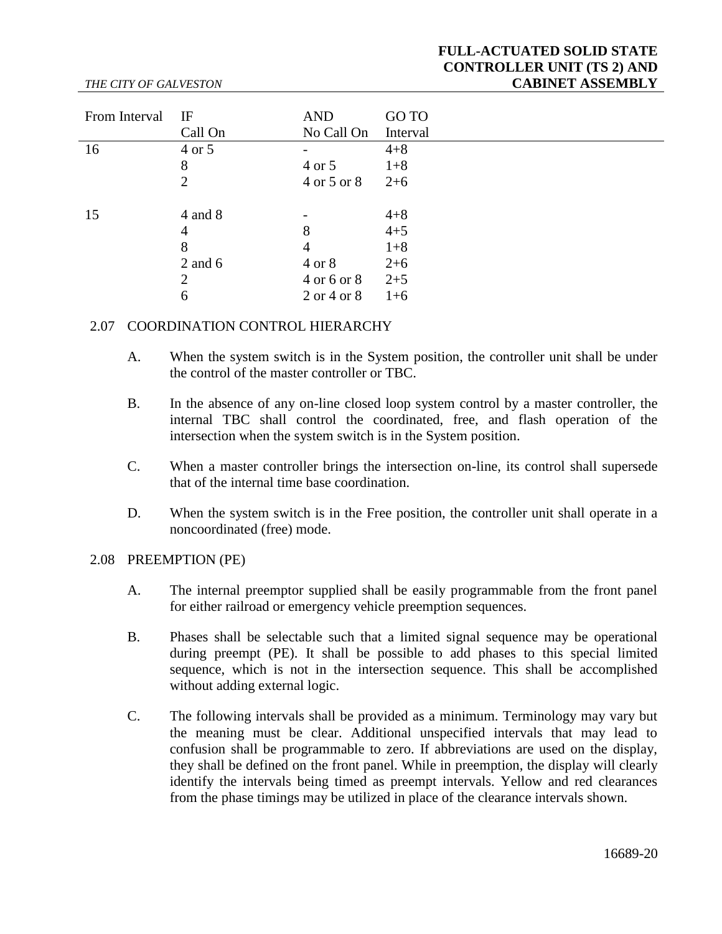# **FULL-ACTUATED SOLID STATE CONTROLLER UNIT (TS 2) AND CABINET ASSEMBLY**

#### From Interval IF Call On AND No Call On GO TO Interval  $16 \t 4 \text{ or } 5 \t -4+8$ 8 4 or 5 1+8 2 4 or 5 or 8 2+6  $15 \t 4 \t and 8 \t - \t 4+8$ 4  $8$   $4+5$ 8 4 1+8 2 and 6 4 or 8 2+6 2  $4 \text{ or } 6 \text{ or } 8$   $2+5$ 6 2 or 4 or 8 1+6

## 2.07 COORDINATION CONTROL HIERARCHY

- A. When the system switch is in the System position, the controller unit shall be under the control of the master controller or TBC.
- B. In the absence of any on-line closed loop system control by a master controller, the internal TBC shall control the coordinated, free, and flash operation of the intersection when the system switch is in the System position.
- C. When a master controller brings the intersection on-line, its control shall supersede that of the internal time base coordination.
- D. When the system switch is in the Free position, the controller unit shall operate in a noncoordinated (free) mode.

#### 2.08 PREEMPTION (PE)

*THE CITY OF GALVESTON*

- A. The internal preemptor supplied shall be easily programmable from the front panel for either railroad or emergency vehicle preemption sequences.
- B. Phases shall be selectable such that a limited signal sequence may be operational during preempt (PE). It shall be possible to add phases to this special limited sequence, which is not in the intersection sequence. This shall be accomplished without adding external logic.
- C. The following intervals shall be provided as a minimum. Terminology may vary but the meaning must be clear. Additional unspecified intervals that may lead to confusion shall be programmable to zero. If abbreviations are used on the display, they shall be defined on the front panel. While in preemption, the display will clearly identify the intervals being timed as preempt intervals. Yellow and red clearances from the phase timings may be utilized in place of the clearance intervals shown.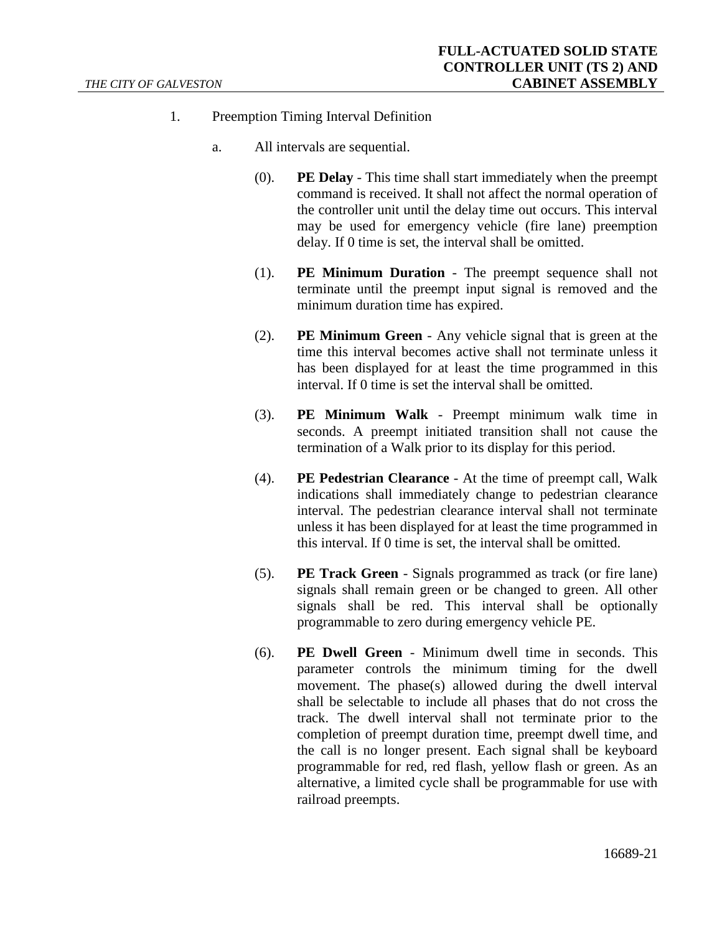- 1. Preemption Timing Interval Definition
	- a. All intervals are sequential.
		- (0). **PE Delay** This time shall start immediately when the preempt command is received. It shall not affect the normal operation of the controller unit until the delay time out occurs. This interval may be used for emergency vehicle (fire lane) preemption delay. If 0 time is set, the interval shall be omitted.
		- (1). **PE Minimum Duration** The preempt sequence shall not terminate until the preempt input signal is removed and the minimum duration time has expired.
		- (2). **PE Minimum Green** Any vehicle signal that is green at the time this interval becomes active shall not terminate unless it has been displayed for at least the time programmed in this interval. If 0 time is set the interval shall be omitted.
		- (3). **PE Minimum Walk** Preempt minimum walk time in seconds. A preempt initiated transition shall not cause the termination of a Walk prior to its display for this period.
		- (4). **PE Pedestrian Clearance** At the time of preempt call, Walk indications shall immediately change to pedestrian clearance interval. The pedestrian clearance interval shall not terminate unless it has been displayed for at least the time programmed in this interval. If 0 time is set, the interval shall be omitted.
		- (5). **PE Track Green** Signals programmed as track (or fire lane) signals shall remain green or be changed to green. All other signals shall be red. This interval shall be optionally programmable to zero during emergency vehicle PE.
		- (6). **PE Dwell Green** Minimum dwell time in seconds. This parameter controls the minimum timing for the dwell movement. The phase(s) allowed during the dwell interval shall be selectable to include all phases that do not cross the track. The dwell interval shall not terminate prior to the completion of preempt duration time, preempt dwell time, and the call is no longer present. Each signal shall be keyboard programmable for red, red flash, yellow flash or green. As an alternative, a limited cycle shall be programmable for use with railroad preempts.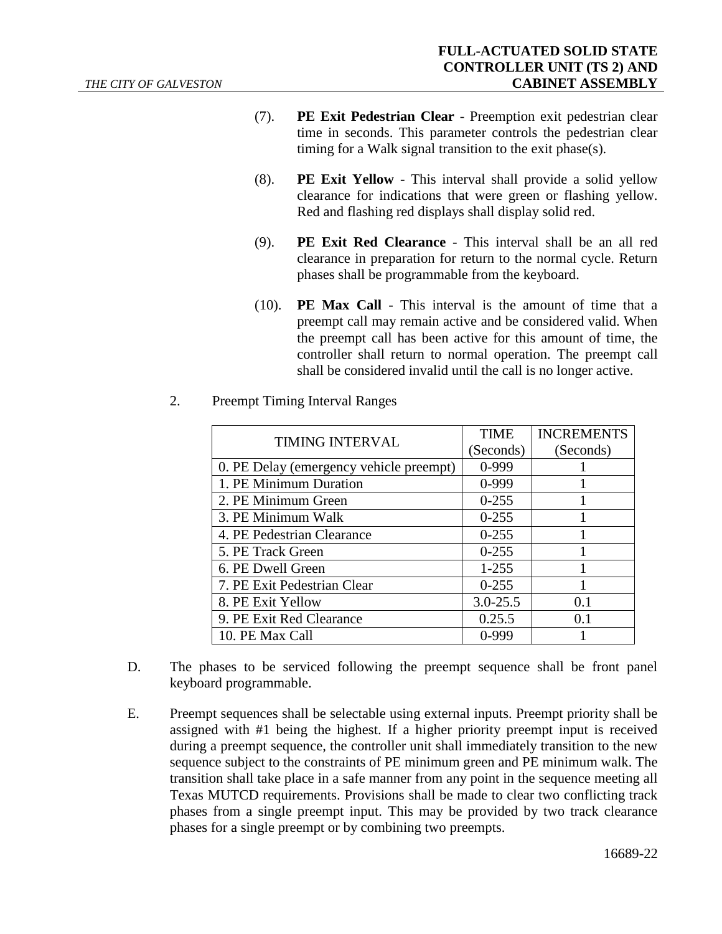- (7). **PE Exit Pedestrian Clear** Preemption exit pedestrian clear time in seconds. This parameter controls the pedestrian clear timing for a Walk signal transition to the exit phase(s).
- (8). **PE Exit Yellow** This interval shall provide a solid yellow clearance for indications that were green or flashing yellow. Red and flashing red displays shall display solid red.
- (9). **PE Exit Red Clearance** This interval shall be an all red clearance in preparation for return to the normal cycle. Return phases shall be programmable from the keyboard.
- (10). **PE Max Call** This interval is the amount of time that a preempt call may remain active and be considered valid. When the preempt call has been active for this amount of time, the controller shall return to normal operation. The preempt call shall be considered invalid until the call is no longer active.

| <b>TIMING INTERVAL</b>                  | <b>TIME</b>  | <b>INCREMENTS</b> |
|-----------------------------------------|--------------|-------------------|
|                                         | (Seconds)    | (Seconds)         |
| 0. PE Delay (emergency vehicle preempt) | 0-999        |                   |
| 1. PE Minimum Duration                  | 0-999        |                   |
| 2. PE Minimum Green                     | $0 - 255$    |                   |
| 3. PE Minimum Walk                      | $0 - 255$    |                   |
| 4. PE Pedestrian Clearance              | $0 - 255$    |                   |
| 5. PE Track Green                       | $0 - 255$    |                   |
| 6. PE Dwell Green                       | $1 - 255$    |                   |
| 7. PE Exit Pedestrian Clear             | $0 - 255$    |                   |
| 8. PE Exit Yellow                       | $3.0 - 25.5$ | 0.1               |
| 9. PE Exit Red Clearance                | 0.25.5       | 0.1               |
| 10. PE Max Call                         | $0-999$      |                   |

2. Preempt Timing Interval Ranges

- D. The phases to be serviced following the preempt sequence shall be front panel keyboard programmable.
- E. Preempt sequences shall be selectable using external inputs. Preempt priority shall be assigned with #1 being the highest. If a higher priority preempt input is received during a preempt sequence, the controller unit shall immediately transition to the new sequence subject to the constraints of PE minimum green and PE minimum walk. The transition shall take place in a safe manner from any point in the sequence meeting all Texas MUTCD requirements. Provisions shall be made to clear two conflicting track phases from a single preempt input. This may be provided by two track clearance phases for a single preempt or by combining two preempts.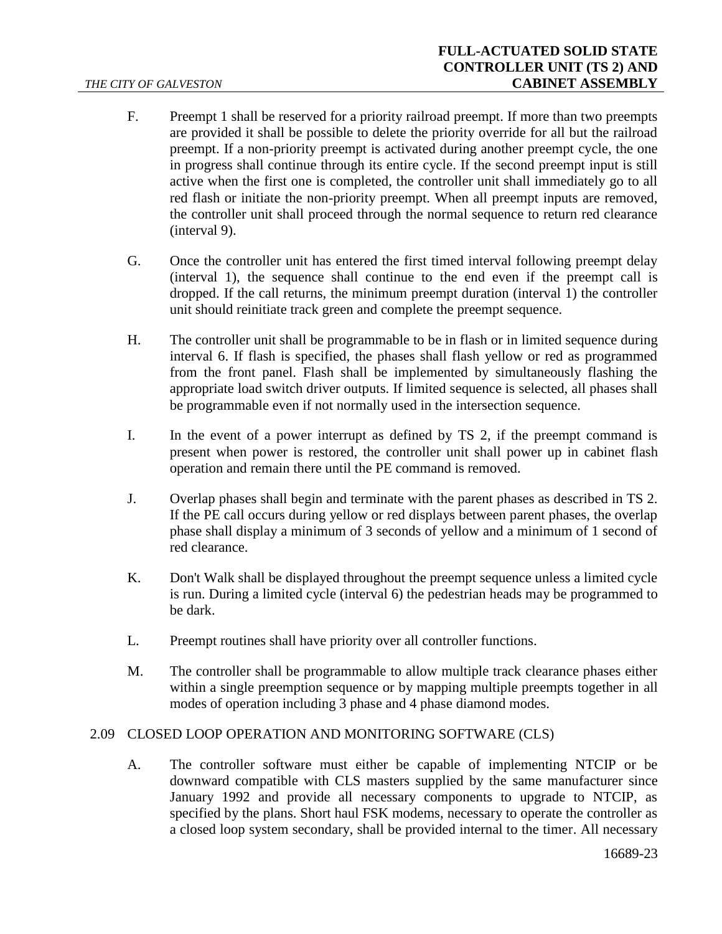- F. Preempt 1 shall be reserved for a priority railroad preempt. If more than two preempts are provided it shall be possible to delete the priority override for all but the railroad preempt. If a non-priority preempt is activated during another preempt cycle, the one in progress shall continue through its entire cycle. If the second preempt input is still active when the first one is completed, the controller unit shall immediately go to all red flash or initiate the non-priority preempt. When all preempt inputs are removed, the controller unit shall proceed through the normal sequence to return red clearance (interval 9).
- G. Once the controller unit has entered the first timed interval following preempt delay (interval 1), the sequence shall continue to the end even if the preempt call is dropped. If the call returns, the minimum preempt duration (interval 1) the controller unit should reinitiate track green and complete the preempt sequence.
- H. The controller unit shall be programmable to be in flash or in limited sequence during interval 6. If flash is specified, the phases shall flash yellow or red as programmed from the front panel. Flash shall be implemented by simultaneously flashing the appropriate load switch driver outputs. If limited sequence is selected, all phases shall be programmable even if not normally used in the intersection sequence.
- I. In the event of a power interrupt as defined by TS 2, if the preempt command is present when power is restored, the controller unit shall power up in cabinet flash operation and remain there until the PE command is removed.
- J. Overlap phases shall begin and terminate with the parent phases as described in TS 2. If the PE call occurs during yellow or red displays between parent phases, the overlap phase shall display a minimum of 3 seconds of yellow and a minimum of 1 second of red clearance.
- K. Don't Walk shall be displayed throughout the preempt sequence unless a limited cycle is run. During a limited cycle (interval 6) the pedestrian heads may be programmed to be dark.
- L. Preempt routines shall have priority over all controller functions.
- M. The controller shall be programmable to allow multiple track clearance phases either within a single preemption sequence or by mapping multiple preempts together in all modes of operation including 3 phase and 4 phase diamond modes.

# 2.09 CLOSED LOOP OPERATION AND MONITORING SOFTWARE (CLS)

A. The controller software must either be capable of implementing NTCIP or be downward compatible with CLS masters supplied by the same manufacturer since January 1992 and provide all necessary components to upgrade to NTCIP, as specified by the plans. Short haul FSK modems, necessary to operate the controller as a closed loop system secondary, shall be provided internal to the timer. All necessary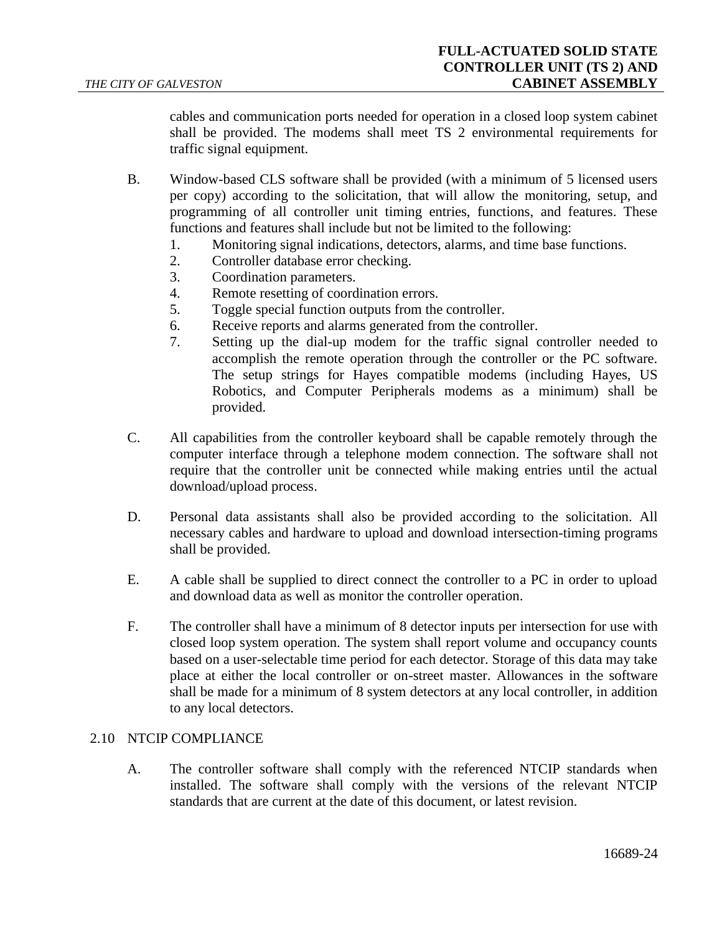cables and communication ports needed for operation in a closed loop system cabinet shall be provided. The modems shall meet TS 2 environmental requirements for traffic signal equipment.

- B. Window-based CLS software shall be provided (with a minimum of 5 licensed users per copy) according to the solicitation, that will allow the monitoring, setup, and programming of all controller unit timing entries, functions, and features. These functions and features shall include but not be limited to the following:
	- 1. Monitoring signal indications, detectors, alarms, and time base functions.
	- 2. Controller database error checking.
	- 3. Coordination parameters.
	- 4. Remote resetting of coordination errors.
	- 5. Toggle special function outputs from the controller.
	- 6. Receive reports and alarms generated from the controller.
	- 7. Setting up the dial-up modem for the traffic signal controller needed to accomplish the remote operation through the controller or the PC software. The setup strings for Hayes compatible modems (including Hayes, US Robotics, and Computer Peripherals modems as a minimum) shall be provided.
- C. All capabilities from the controller keyboard shall be capable remotely through the computer interface through a telephone modem connection. The software shall not require that the controller unit be connected while making entries until the actual download/upload process.
- D. Personal data assistants shall also be provided according to the solicitation. All necessary cables and hardware to upload and download intersection-timing programs shall be provided.
- E. A cable shall be supplied to direct connect the controller to a PC in order to upload and download data as well as monitor the controller operation.
- F. The controller shall have a minimum of 8 detector inputs per intersection for use with closed loop system operation. The system shall report volume and occupancy counts based on a user-selectable time period for each detector. Storage of this data may take place at either the local controller or on-street master. Allowances in the software shall be made for a minimum of 8 system detectors at any local controller, in addition to any local detectors.

#### 2.10 NTCIP COMPLIANCE

A. The controller software shall comply with the referenced NTCIP standards when installed. The software shall comply with the versions of the relevant NTCIP standards that are current at the date of this document, or latest revision.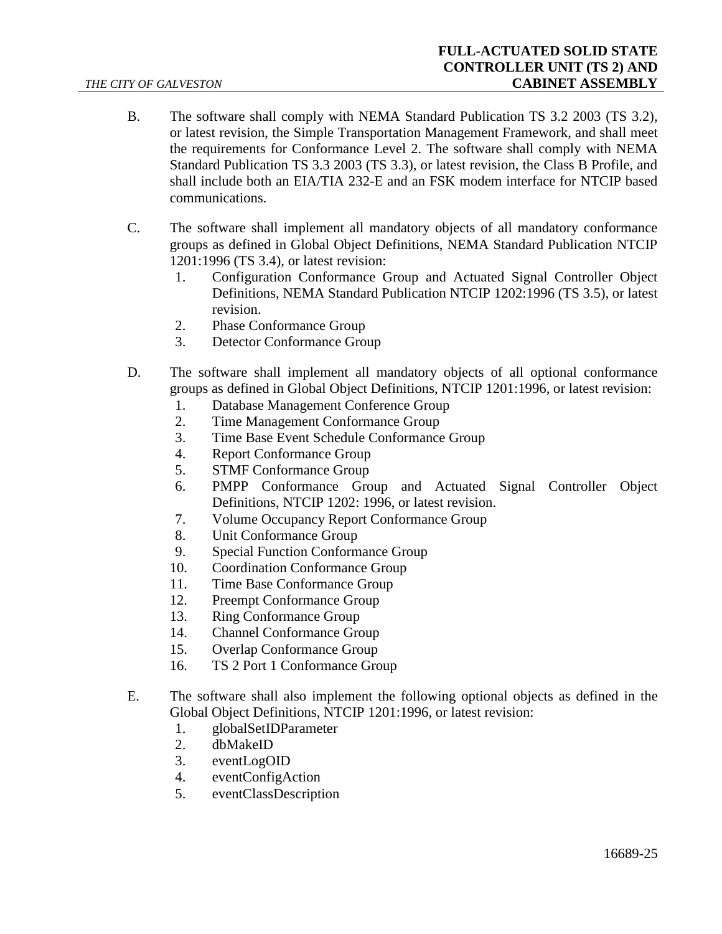- B. The software shall comply with NEMA Standard Publication TS 3.2 2003 (TS 3.2), or latest revision, the Simple Transportation Management Framework, and shall meet the requirements for Conformance Level 2. The software shall comply with NEMA Standard Publication TS 3.3 2003 (TS 3.3), or latest revision, the Class B Profile, and shall include both an EIA/TIA 232-E and an FSK modem interface for NTCIP based communications.
- C. The software shall implement all mandatory objects of all mandatory conformance groups as defined in Global Object Definitions, NEMA Standard Publication NTCIP 1201:1996 (TS 3.4), or latest revision:
	- 1. Configuration Conformance Group and Actuated Signal Controller Object Definitions, NEMA Standard Publication NTCIP 1202:1996 (TS 3.5), or latest revision.
	- 2. Phase Conformance Group
	- 3. Detector Conformance Group
- D. The software shall implement all mandatory objects of all optional conformance groups as defined in Global Object Definitions, NTCIP 1201:1996, or latest revision:
	- 1. Database Management Conference Group
	- 2. Time Management Conformance Group
	- 3. Time Base Event Schedule Conformance Group
	- 4. Report Conformance Group
	- 5. STMF Conformance Group
	- 6. PMPP Conformance Group and Actuated Signal Controller Object Definitions, NTCIP 1202: 1996, or latest revision.
	- 7. Volume Occupancy Report Conformance Group
	- 8. Unit Conformance Group
	- 9. Special Function Conformance Group
	- 10. Coordination Conformance Group
	- 11. Time Base Conformance Group
	- 12. Preempt Conformance Group
	- 13. Ring Conformance Group
	- 14. Channel Conformance Group
	- 15. Overlap Conformance Group
	- 16. TS 2 Port 1 Conformance Group
- E. The software shall also implement the following optional objects as defined in the Global Object Definitions, NTCIP 1201:1996, or latest revision:
	- 1. globalSetIDParameter
	- 2. dbMakeID
	- 3. eventLogOID
	- 4. eventConfigAction
	- 5. eventClassDescription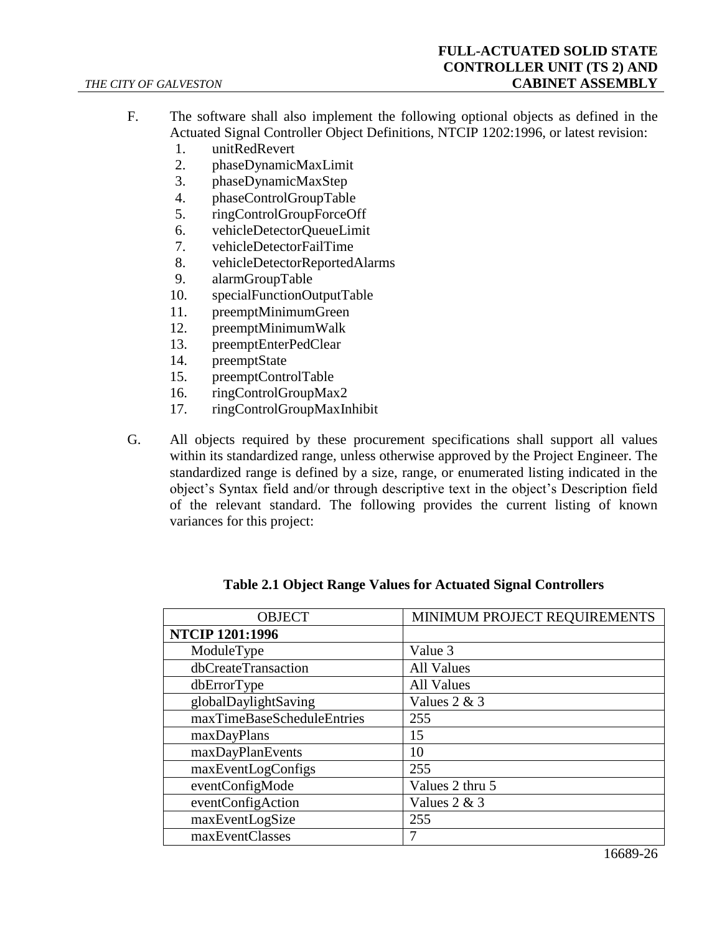- F. The software shall also implement the following optional objects as defined in the Actuated Signal Controller Object Definitions, NTCIP 1202:1996, or latest revision:
	- 1. unitRedRevert
	- 2. phaseDynamicMaxLimit
	- 3. phaseDynamicMaxStep
	- 4. phaseControlGroupTable
	- 5. ringControlGroupForceOff
	- 6. vehicleDetectorQueueLimit
	- 7. vehicleDetectorFailTime
	- 8. vehicleDetectorReportedAlarms
	- 9. alarmGroupTable
	- 10. specialFunctionOutputTable
	- 11. preemptMinimumGreen
	- 12. preemptMinimumWalk
	- 13. preemptEnterPedClear
	- 14. preemptState
	- 15. preemptControlTable
	- 16. ringControlGroupMax2
	- 17. ringControlGroupMaxInhibit
- G. All objects required by these procurement specifications shall support all values within its standardized range, unless otherwise approved by the Project Engineer. The standardized range is defined by a size, range, or enumerated listing indicated in the object's Syntax field and/or through descriptive text in the object's Description field of the relevant standard. The following provides the current listing of known variances for this project:

| <b>OBJECT</b>              | MINIMUM PROJECT REQUIREMENTS |  |
|----------------------------|------------------------------|--|
| <b>NTCIP 1201:1996</b>     |                              |  |
| ModuleType                 | Value 3                      |  |
| dbCreateTransaction        | <b>All Values</b>            |  |
| dbErrorType                | <b>All Values</b>            |  |
| globalDaylightSaving       | Values $2 & 3$               |  |
| maxTimeBaseScheduleEntries | 255                          |  |
| maxDayPlans                | 15                           |  |
| maxDayPlanEvents           | 10                           |  |
| maxEventLogConfigs         | 255                          |  |
| eventConfigMode            | Values 2 thru 5              |  |
| eventConfigAction          | Values $2 & 3$               |  |
| maxEventLogSize            | 255                          |  |
| maxEventClasses            |                              |  |

**Table 2.1 Object Range Values for Actuated Signal Controllers**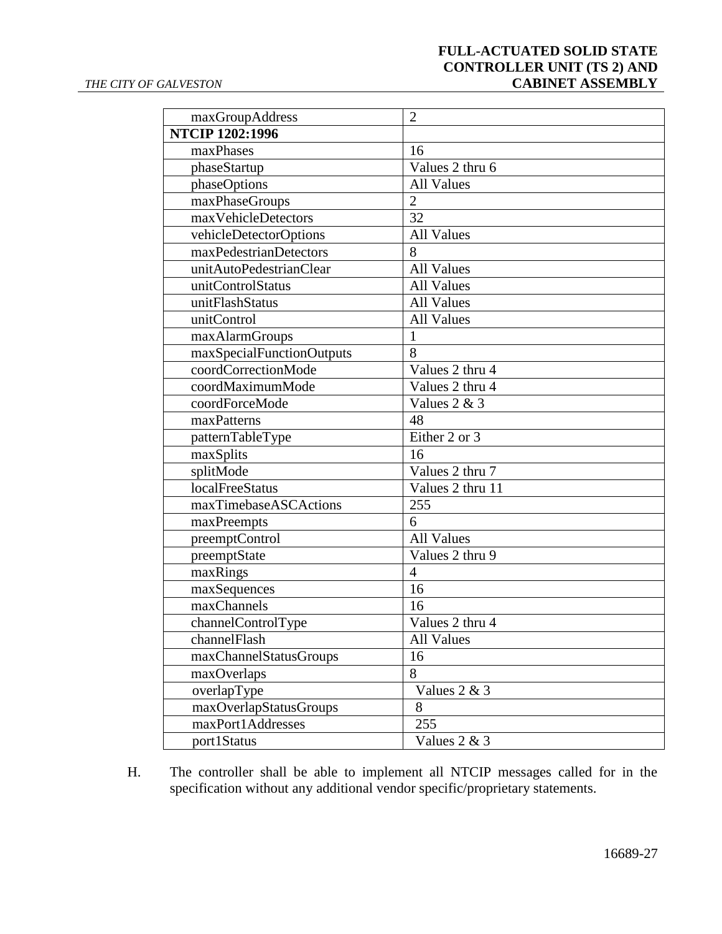# **FULL-ACTUATED SOLID STATE CONTROLLER UNIT (TS 2) AND CABINET ASSEMBLY**

| maxGroupAddress           | $\overline{2}$    |
|---------------------------|-------------------|
| <b>NTCIP 1202:1996</b>    |                   |
| maxPhases                 | 16                |
| phaseStartup              | Values 2 thru 6   |
| phaseOptions              | <b>All Values</b> |
| maxPhaseGroups            | $\overline{2}$    |
| maxVehicleDetectors       | 32                |
| vehicleDetectorOptions    | <b>All Values</b> |
| maxPedestrianDetectors    | 8                 |
| unitAutoPedestrianClear   | <b>All Values</b> |
| unitControlStatus         | <b>All Values</b> |
| unitFlashStatus           | <b>All Values</b> |
| unitControl               | <b>All Values</b> |
| maxAlarmGroups            | $\mathbf{1}$      |
| maxSpecialFunctionOutputs | 8                 |
| coordCorrectionMode       | Values 2 thru 4   |
| coordMaximumMode          | Values 2 thru 4   |
| coordForceMode            | Values $2 & 3$    |
| maxPatterns               | 48                |
| patternTableType          | Either 2 or 3     |
| maxSplits                 | 16                |
| splitMode                 | Values 2 thru 7   |
| <b>localFreeStatus</b>    | Values 2 thru 11  |
| maxTimebaseASCActions     | 255               |
| maxPreempts               | 6                 |
| preemptControl            | <b>All Values</b> |
| preemptState              | Values 2 thru 9   |
| maxRings                  | $\overline{4}$    |
| maxSequences              | 16                |
| maxChannels               | 16                |
| channelControlType        | Values 2 thru 4   |
| channelFlash              | <b>All Values</b> |
| maxChannelStatusGroups    | 16                |
| maxOverlaps               | 8                 |
| overlapType               | Values 2 & 3      |
| maxOverlapStatusGroups    | 8                 |
| maxPort1Addresses         | 255               |
| port1Status               | Values 2 & 3      |

H. The controller shall be able to implement all NTCIP messages called for in the specification without any additional vendor specific/proprietary statements.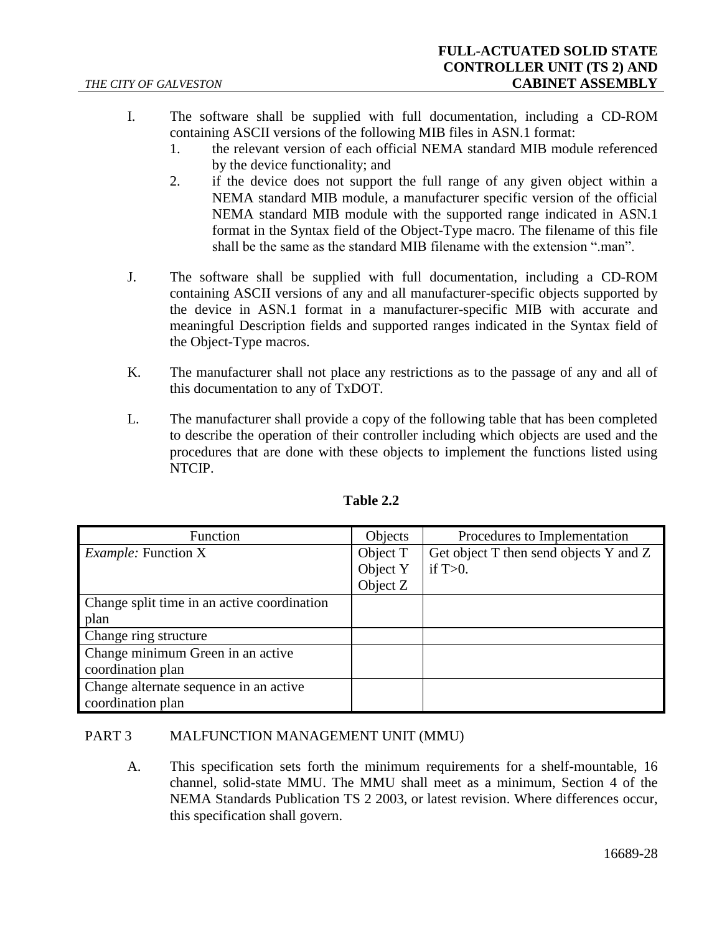- I. The software shall be supplied with full documentation, including a CD-ROM containing ASCII versions of the following MIB files in ASN.1 format:
	- 1. the relevant version of each official NEMA standard MIB module referenced by the device functionality; and
	- 2. if the device does not support the full range of any given object within a NEMA standard MIB module, a manufacturer specific version of the official NEMA standard MIB module with the supported range indicated in ASN.1 format in the Syntax field of the Object-Type macro. The filename of this file shall be the same as the standard MIB filename with the extension ".man".
- J. The software shall be supplied with full documentation, including a CD-ROM containing ASCII versions of any and all manufacturer-specific objects supported by the device in ASN.1 format in a manufacturer-specific MIB with accurate and meaningful Description fields and supported ranges indicated in the Syntax field of the Object-Type macros.
- K. The manufacturer shall not place any restrictions as to the passage of any and all of this documentation to any of TxDOT.
- L. The manufacturer shall provide a copy of the following table that has been completed to describe the operation of their controller including which objects are used and the procedures that are done with these objects to implement the functions listed using NTCIP.

| Function                                    | Objects  | Procedures to Implementation           |
|---------------------------------------------|----------|----------------------------------------|
| <i>Example:</i> Function X                  | Object T | Get object T then send objects Y and Z |
|                                             | Object Y | if $T>0$ .                             |
|                                             | Object Z |                                        |
| Change split time in an active coordination |          |                                        |
| plan                                        |          |                                        |
| Change ring structure                       |          |                                        |
| Change minimum Green in an active           |          |                                        |
| coordination plan                           |          |                                        |
| Change alternate sequence in an active      |          |                                        |
| coordination plan                           |          |                                        |

## **Table 2.2**

#### <span id="page-27-0"></span>PART 3 MALFUNCTION MANAGEMENT UNIT (MMU)

A. This specification sets forth the minimum requirements for a shelf-mountable, 16 channel, solid-state MMU. The MMU shall meet as a minimum, Section 4 of the NEMA Standards Publication TS 2 2003, or latest revision. Where differences occur, this specification shall govern.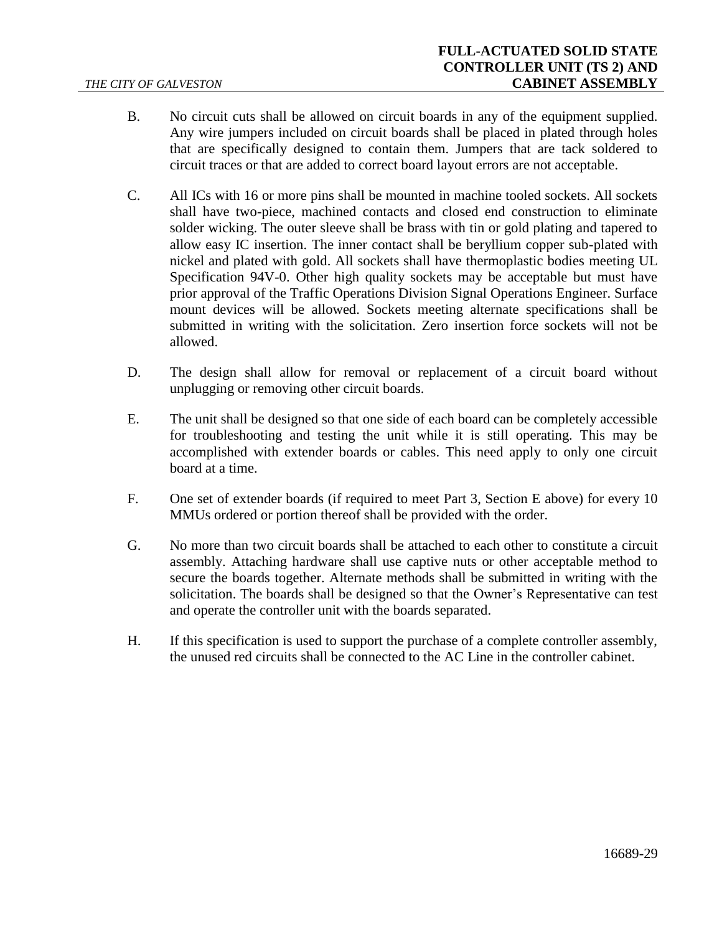- B. No circuit cuts shall be allowed on circuit boards in any of the equipment supplied. Any wire jumpers included on circuit boards shall be placed in plated through holes that are specifically designed to contain them. Jumpers that are tack soldered to circuit traces or that are added to correct board layout errors are not acceptable.
- C. All ICs with 16 or more pins shall be mounted in machine tooled sockets. All sockets shall have two-piece, machined contacts and closed end construction to eliminate solder wicking. The outer sleeve shall be brass with tin or gold plating and tapered to allow easy IC insertion. The inner contact shall be beryllium copper sub-plated with nickel and plated with gold. All sockets shall have thermoplastic bodies meeting UL Specification 94V-0. Other high quality sockets may be acceptable but must have prior approval of the Traffic Operations Division Signal Operations Engineer. Surface mount devices will be allowed. Sockets meeting alternate specifications shall be submitted in writing with the solicitation. Zero insertion force sockets will not be allowed.
- D. The design shall allow for removal or replacement of a circuit board without unplugging or removing other circuit boards.
- <span id="page-28-0"></span>E. The unit shall be designed so that one side of each board can be completely accessible for troubleshooting and testing the unit while it is still operating. This may be accomplished with extender boards or cables. This need apply to only one circuit board at a time.
- F. One set of extender boards (if required to meet [Part 3,](#page-27-0) Section [E](#page-28-0) [above\)](#page-28-0) for every 10 MMUs ordered or portion thereof shall be provided with the order.
- G. No more than two circuit boards shall be attached to each other to constitute a circuit assembly. Attaching hardware shall use captive nuts or other acceptable method to secure the boards together. Alternate methods shall be submitted in writing with the solicitation. The boards shall be designed so that the Owner's Representative can test and operate the controller unit with the boards separated.
- H. If this specification is used to support the purchase of a complete controller assembly, the unused red circuits shall be connected to the AC Line in the controller cabinet.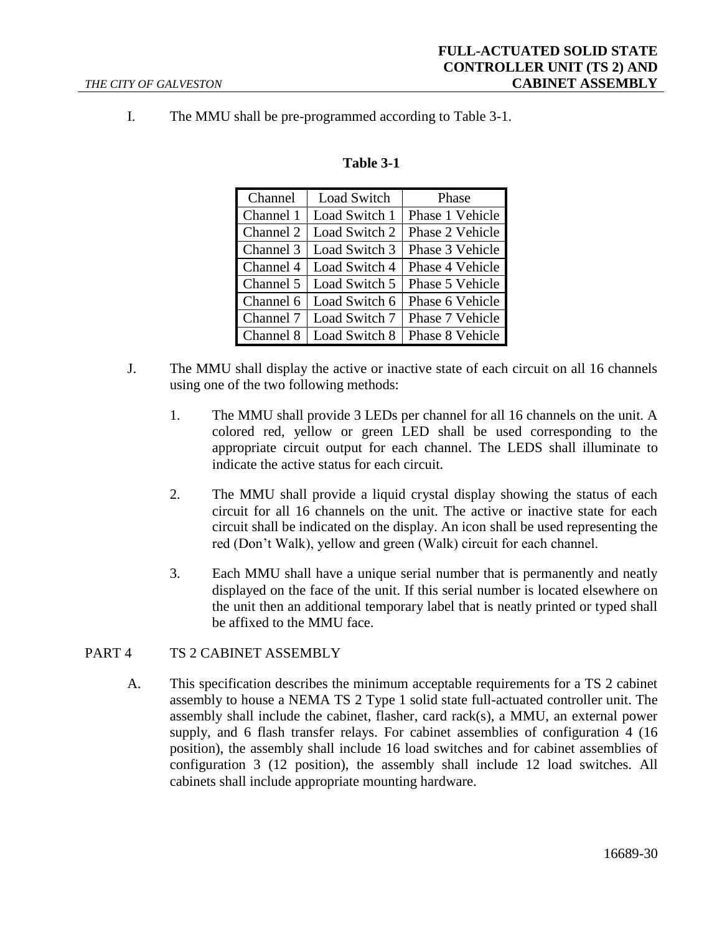I. The MMU shall be pre-programmed according to Table 3-1.

| Channel   | Load Switch   | Phase           |
|-----------|---------------|-----------------|
| Channel 1 | Load Switch 1 | Phase 1 Vehicle |
| Channel 2 | Load Switch 2 | Phase 2 Vehicle |
| Channel 3 | Load Switch 3 | Phase 3 Vehicle |
| Channel 4 | Load Switch 4 | Phase 4 Vehicle |
| Channel 5 | Load Switch 5 | Phase 5 Vehicle |
| Channel 6 | Load Switch 6 | Phase 6 Vehicle |
| Channel 7 | Load Switch 7 | Phase 7 Vehicle |
| Channel 8 | Load Switch 8 | Phase 8 Vehicle |

## **Table 3-1**

- J. The MMU shall display the active or inactive state of each circuit on all 16 channels using one of the two following methods:
	- 1. The MMU shall provide 3 LEDs per channel for all 16 channels on the unit. A colored red, yellow or green LED shall be used corresponding to the appropriate circuit output for each channel. The LEDS shall illuminate to indicate the active status for each circuit.
	- 2. The MMU shall provide a liquid crystal display showing the status of each circuit for all 16 channels on the unit. The active or inactive state for each circuit shall be indicated on the display. An icon shall be used representing the red (Don't Walk), yellow and green (Walk) circuit for each channel.
	- 3. Each MMU shall have a unique serial number that is permanently and neatly displayed on the face of the unit. If this serial number is located elsewhere on the unit then an additional temporary label that is neatly printed or typed shall be affixed to the MMU face.

#### PART 4 TS 2 CABINET ASSEMBLY

A. This specification describes the minimum acceptable requirements for a TS 2 cabinet assembly to house a NEMA TS 2 Type 1 solid state full-actuated controller unit. The assembly shall include the cabinet, flasher, card rack(s), a MMU, an external power supply, and 6 flash transfer relays. For cabinet assemblies of configuration 4 (16 position), the assembly shall include 16 load switches and for cabinet assemblies of configuration 3 (12 position), the assembly shall include 12 load switches. All cabinets shall include appropriate mounting hardware.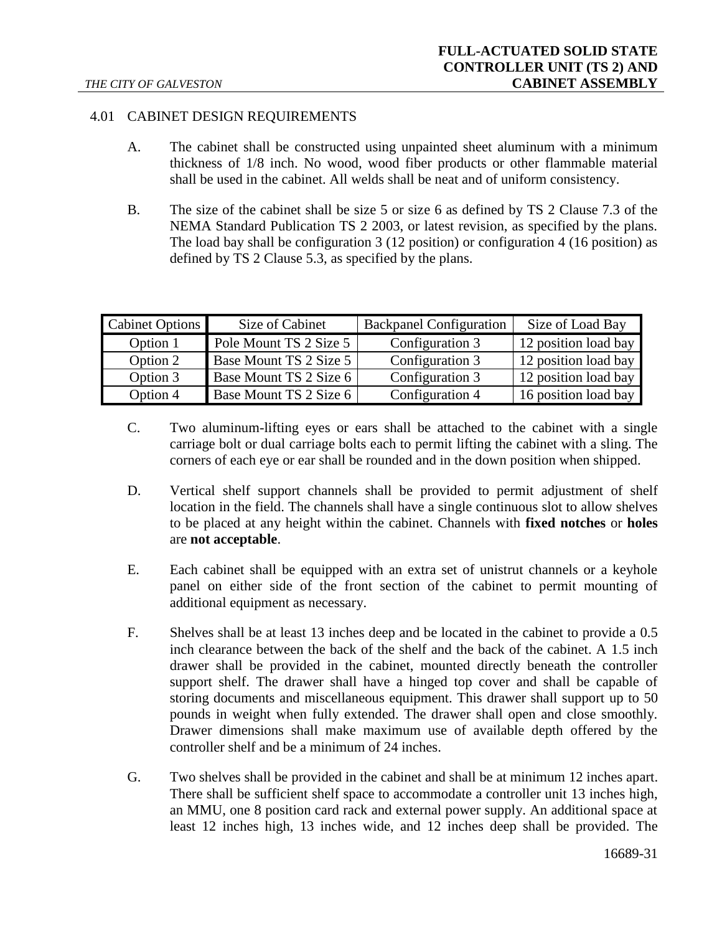## 4.01 CABINET DESIGN REQUIREMENTS

- A. The cabinet shall be constructed using unpainted sheet aluminum with a minimum thickness of 1/8 inch. No wood, wood fiber products or other flammable material shall be used in the cabinet. All welds shall be neat and of uniform consistency.
- B. The size of the cabinet shall be size 5 or size 6 as defined by TS 2 Clause 7.3 of the NEMA Standard Publication TS 2 2003, or latest revision, as specified by the plans. The load bay shall be configuration 3 (12 position) or configuration 4 (16 position) as defined by TS 2 Clause 5.3, as specified by the plans.

| Cabinet Options | Size of Cabinet        | <b>Backpanel Configuration</b> | Size of Load Bay     |
|-----------------|------------------------|--------------------------------|----------------------|
| Option 1        | Pole Mount TS 2 Size 5 | Configuration 3                | 12 position load bay |
| Option 2        | Base Mount TS 2 Size 5 | Configuration 3                | 12 position load bay |
| Option 3        | Base Mount TS 2 Size 6 | Configuration 3                | 12 position load bay |
| Option 4        | Base Mount TS 2 Size 6 | Configuration 4                | 16 position load bay |

- C. Two aluminum-lifting eyes or ears shall be attached to the cabinet with a single carriage bolt or dual carriage bolts each to permit lifting the cabinet with a sling. The corners of each eye or ear shall be rounded and in the down position when shipped.
- D. Vertical shelf support channels shall be provided to permit adjustment of shelf location in the field. The channels shall have a single continuous slot to allow shelves to be placed at any height within the cabinet. Channels with **fixed notches** or **holes** are **not acceptable**.
- E. Each cabinet shall be equipped with an extra set of unistrut channels or a keyhole panel on either side of the front section of the cabinet to permit mounting of additional equipment as necessary.
- F. Shelves shall be at least 13 inches deep and be located in the cabinet to provide a 0.5 inch clearance between the back of the shelf and the back of the cabinet. A 1.5 inch drawer shall be provided in the cabinet, mounted directly beneath the controller support shelf. The drawer shall have a hinged top cover and shall be capable of storing documents and miscellaneous equipment. This drawer shall support up to 50 pounds in weight when fully extended. The drawer shall open and close smoothly. Drawer dimensions shall make maximum use of available depth offered by the controller shelf and be a minimum of 24 inches.
- G. Two shelves shall be provided in the cabinet and shall be at minimum 12 inches apart. There shall be sufficient shelf space to accommodate a controller unit 13 inches high, an MMU, one 8 position card rack and external power supply. An additional space at least 12 inches high, 13 inches wide, and 12 inches deep shall be provided. The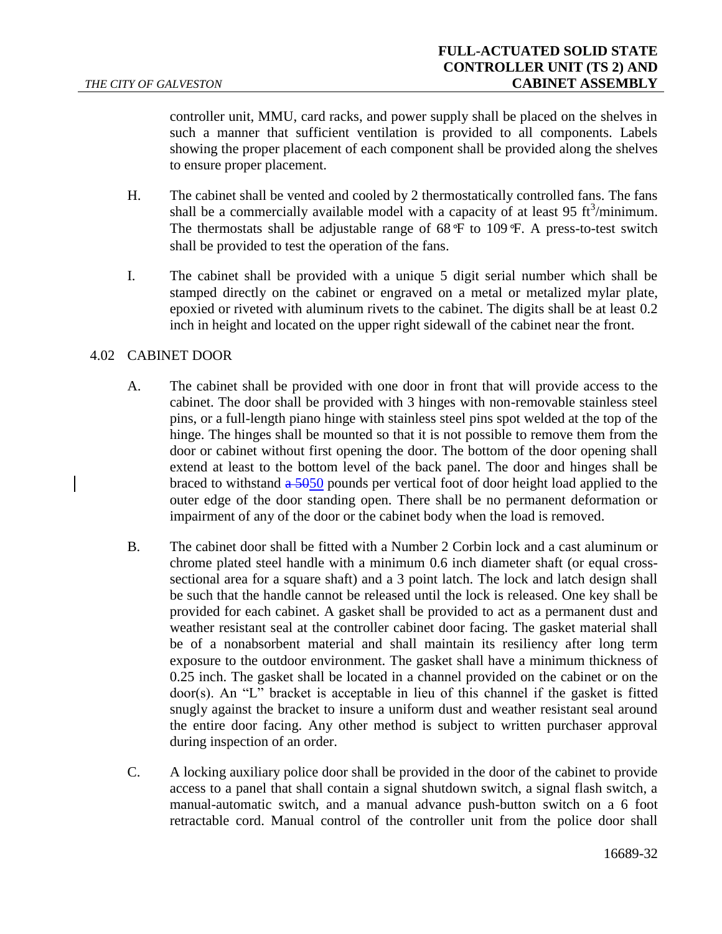controller unit, MMU, card racks, and power supply shall be placed on the shelves in such a manner that sufficient ventilation is provided to all components. Labels showing the proper placement of each component shall be provided along the shelves to ensure proper placement.

- H. The cabinet shall be vented and cooled by 2 thermostatically controlled fans. The fans shall be a commercially available model with a capacity of at least 95  $\text{ft}^3/\text{minimum}$ . The thermostats shall be adjustable range of 68*°*F to 109*°*F. A press-to-test switch shall be provided to test the operation of the fans.
- I. The cabinet shall be provided with a unique 5 digit serial number which shall be stamped directly on the cabinet or engraved on a metal or metalized mylar plate, epoxied or riveted with aluminum rivets to the cabinet. The digits shall be at least 0.2 inch in height and located on the upper right sidewall of the cabinet near the front.

## 4.02 CABINET DOOR

- A. The cabinet shall be provided with one door in front that will provide access to the cabinet. The door shall be provided with 3 hinges with non-removable stainless steel pins, or a full-length piano hinge with stainless steel pins spot welded at the top of the hinge. The hinges shall be mounted so that it is not possible to remove them from the door or cabinet without first opening the door. The bottom of the door opening shall extend at least to the bottom level of the back panel. The door and hinges shall be braced to withstand  $\frac{1}{2}$  = 5050 pounds per vertical foot of door height load applied to the outer edge of the door standing open. There shall be no permanent deformation or impairment of any of the door or the cabinet body when the load is removed.
- B. The cabinet door shall be fitted with a Number 2 Corbin lock and a cast aluminum or chrome plated steel handle with a minimum 0.6 inch diameter shaft (or equal crosssectional area for a square shaft) and a 3 point latch. The lock and latch design shall be such that the handle cannot be released until the lock is released. One key shall be provided for each cabinet. A gasket shall be provided to act as a permanent dust and weather resistant seal at the controller cabinet door facing. The gasket material shall be of a nonabsorbent material and shall maintain its resiliency after long term exposure to the outdoor environment. The gasket shall have a minimum thickness of 0.25 inch. The gasket shall be located in a channel provided on the cabinet or on the door(s). An "L" bracket is acceptable in lieu of this channel if the gasket is fitted snugly against the bracket to insure a uniform dust and weather resistant seal around the entire door facing. Any other method is subject to written purchaser approval during inspection of an order.
- C. A locking auxiliary police door shall be provided in the door of the cabinet to provide access to a panel that shall contain a signal shutdown switch, a signal flash switch, a manual-automatic switch, and a manual advance push-button switch on a 6 foot retractable cord. Manual control of the controller unit from the police door shall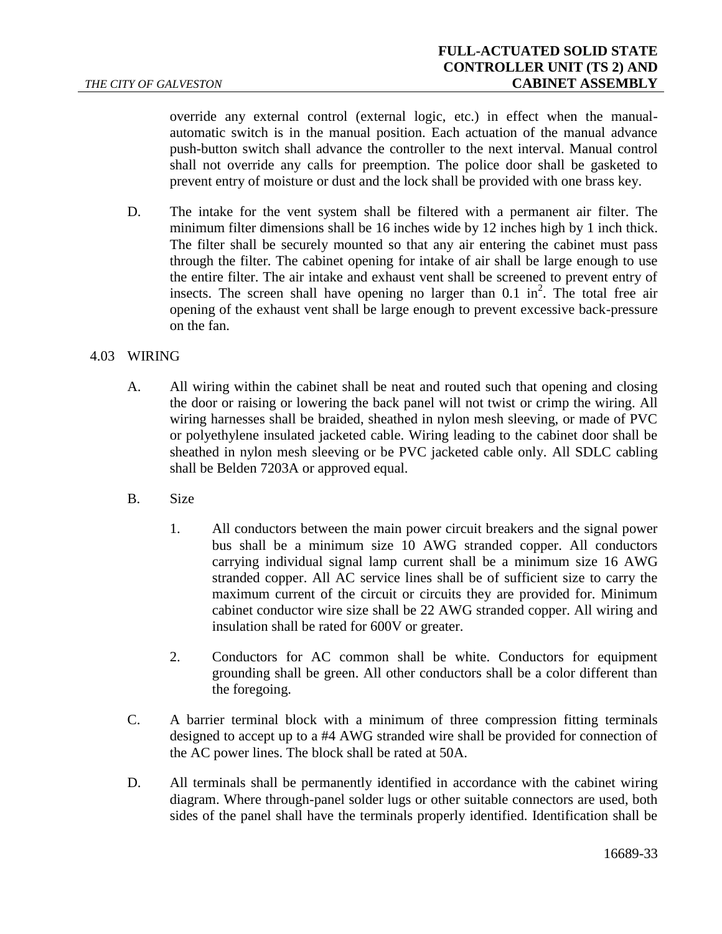override any external control (external logic, etc.) in effect when the manualautomatic switch is in the manual position. Each actuation of the manual advance push-button switch shall advance the controller to the next interval. Manual control shall not override any calls for preemption. The police door shall be gasketed to prevent entry of moisture or dust and the lock shall be provided with one brass key.

D. The intake for the vent system shall be filtered with a permanent air filter. The minimum filter dimensions shall be 16 inches wide by 12 inches high by 1 inch thick. The filter shall be securely mounted so that any air entering the cabinet must pass through the filter. The cabinet opening for intake of air shall be large enough to use the entire filter. The air intake and exhaust vent shall be screened to prevent entry of insects. The screen shall have opening no larger than  $0.1 \text{ in}^2$ . The total free air opening of the exhaust vent shall be large enough to prevent excessive back-pressure on the fan.

## 4.03 WIRING

- A. All wiring within the cabinet shall be neat and routed such that opening and closing the door or raising or lowering the back panel will not twist or crimp the wiring. All wiring harnesses shall be braided, sheathed in nylon mesh sleeving, or made of PVC or polyethylene insulated jacketed cable. Wiring leading to the cabinet door shall be sheathed in nylon mesh sleeving or be PVC jacketed cable only. All SDLC cabling shall be Belden 7203A or approved equal.
- B. Size
	- 1. All conductors between the main power circuit breakers and the signal power bus shall be a minimum size 10 AWG stranded copper. All conductors carrying individual signal lamp current shall be a minimum size 16 AWG stranded copper. All AC service lines shall be of sufficient size to carry the maximum current of the circuit or circuits they are provided for. Minimum cabinet conductor wire size shall be 22 AWG stranded copper. All wiring and insulation shall be rated for 600V or greater.
	- 2. Conductors for AC common shall be white. Conductors for equipment grounding shall be green. All other conductors shall be a color different than the foregoing.
- C. A barrier terminal block with a minimum of three compression fitting terminals designed to accept up to a #4 AWG stranded wire shall be provided for connection of the AC power lines. The block shall be rated at 50A.
- D. All terminals shall be permanently identified in accordance with the cabinet wiring diagram. Where through-panel solder lugs or other suitable connectors are used, both sides of the panel shall have the terminals properly identified. Identification shall be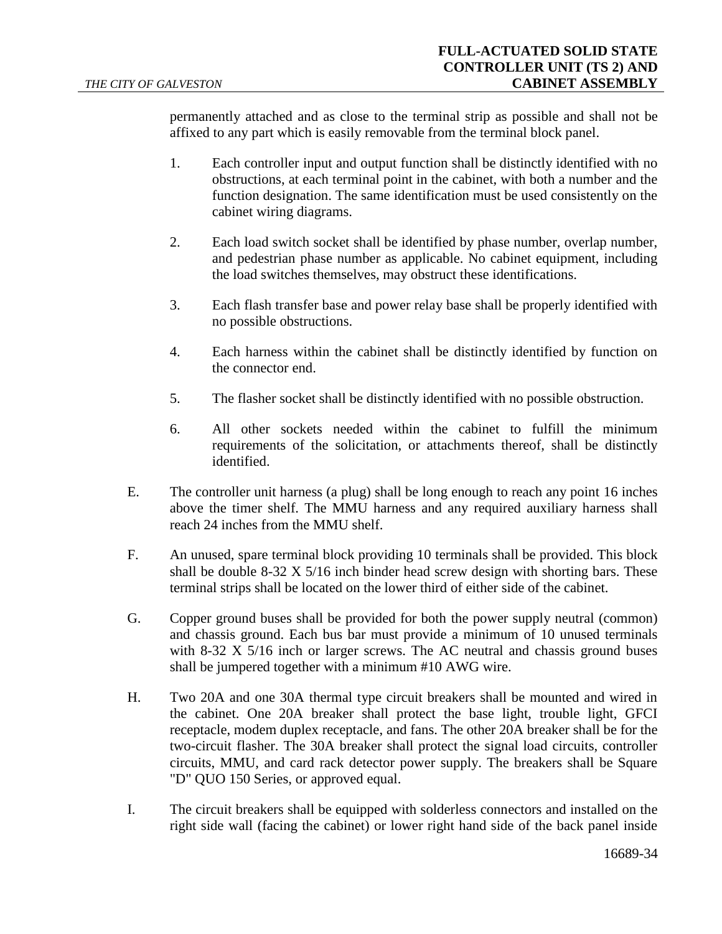permanently attached and as close to the terminal strip as possible and shall not be affixed to any part which is easily removable from the terminal block panel.

- 1. Each controller input and output function shall be distinctly identified with no obstructions, at each terminal point in the cabinet, with both a number and the function designation. The same identification must be used consistently on the cabinet wiring diagrams.
- 2. Each load switch socket shall be identified by phase number, overlap number, and pedestrian phase number as applicable. No cabinet equipment, including the load switches themselves, may obstruct these identifications.
- 3. Each flash transfer base and power relay base shall be properly identified with no possible obstructions.
- 4. Each harness within the cabinet shall be distinctly identified by function on the connector end.
- 5. The flasher socket shall be distinctly identified with no possible obstruction.
- 6. All other sockets needed within the cabinet to fulfill the minimum requirements of the solicitation, or attachments thereof, shall be distinctly identified.
- E. The controller unit harness (a plug) shall be long enough to reach any point 16 inches above the timer shelf. The MMU harness and any required auxiliary harness shall reach 24 inches from the MMU shelf.
- F. An unused, spare terminal block providing 10 terminals shall be provided. This block shall be double 8-32 X 5/16 inch binder head screw design with shorting bars. These terminal strips shall be located on the lower third of either side of the cabinet.
- G. Copper ground buses shall be provided for both the power supply neutral (common) and chassis ground. Each bus bar must provide a minimum of 10 unused terminals with  $8-32 \times 5/16$  inch or larger screws. The AC neutral and chassis ground buses shall be jumpered together with a minimum #10 AWG wire.
- H. Two 20A and one 30A thermal type circuit breakers shall be mounted and wired in the cabinet. One 20A breaker shall protect the base light, trouble light, GFCI receptacle, modem duplex receptacle, and fans. The other 20A breaker shall be for the two-circuit flasher. The 30A breaker shall protect the signal load circuits, controller circuits, MMU, and card rack detector power supply. The breakers shall be Square "D" QUO 150 Series, or approved equal.
- I. The circuit breakers shall be equipped with solderless connectors and installed on the right side wall (facing the cabinet) or lower right hand side of the back panel inside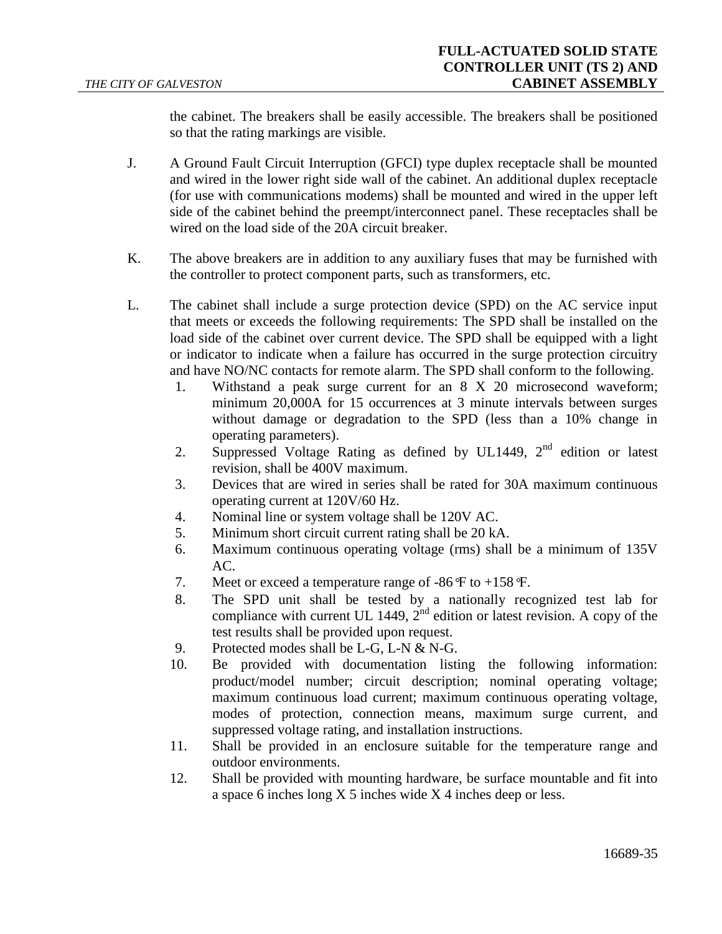the cabinet. The breakers shall be easily accessible. The breakers shall be positioned so that the rating markings are visible.

- J. A Ground Fault Circuit Interruption (GFCI) type duplex receptacle shall be mounted and wired in the lower right side wall of the cabinet. An additional duplex receptacle (for use with communications modems) shall be mounted and wired in the upper left side of the cabinet behind the preempt/interconnect panel. These receptacles shall be wired on the load side of the 20A circuit breaker.
- K. The above breakers are in addition to any auxiliary fuses that may be furnished with the controller to protect component parts, such as transformers, etc.
- L. The cabinet shall include a surge protection device (SPD) on the AC service input that meets or exceeds the following requirements: The SPD shall be installed on the load side of the cabinet over current device. The SPD shall be equipped with a light or indicator to indicate when a failure has occurred in the surge protection circuitry and have NO/NC contacts for remote alarm. The SPD shall conform to the following.
	- 1. Withstand a peak surge current for an 8 X 20 microsecond waveform; minimum 20,000A for 15 occurrences at 3 minute intervals between surges without damage or degradation to the SPD (less than a 10% change in operating parameters).
	- 2. Suppressed Voltage Rating as defined by UL1449,  $2<sup>nd</sup>$  edition or latest revision, shall be 400V maximum.
	- 3. Devices that are wired in series shall be rated for 30A maximum continuous operating current at 120V/60 Hz.
	- 4. Nominal line or system voltage shall be 120V AC.
	- 5. Minimum short circuit current rating shall be 20 kA.
	- 6. Maximum continuous operating voltage (rms) shall be a minimum of 135V AC.
	- 7. Meet or exceed a temperature range of -86*°*F to +158*°*F.
	- 8. The SPD unit shall be tested by a nationally recognized test lab for compliance with current UL 1449,  $2<sup>nd</sup>$  edition or latest revision. A copy of the test results shall be provided upon request.
	- 9. Protected modes shall be L-G, L-N & N-G.
	- 10. Be provided with documentation listing the following information: product/model number; circuit description; nominal operating voltage; maximum continuous load current; maximum continuous operating voltage, modes of protection, connection means, maximum surge current, and suppressed voltage rating, and installation instructions.
	- 11. Shall be provided in an enclosure suitable for the temperature range and outdoor environments.
	- 12. Shall be provided with mounting hardware, be surface mountable and fit into a space 6 inches long X 5 inches wide X 4 inches deep or less.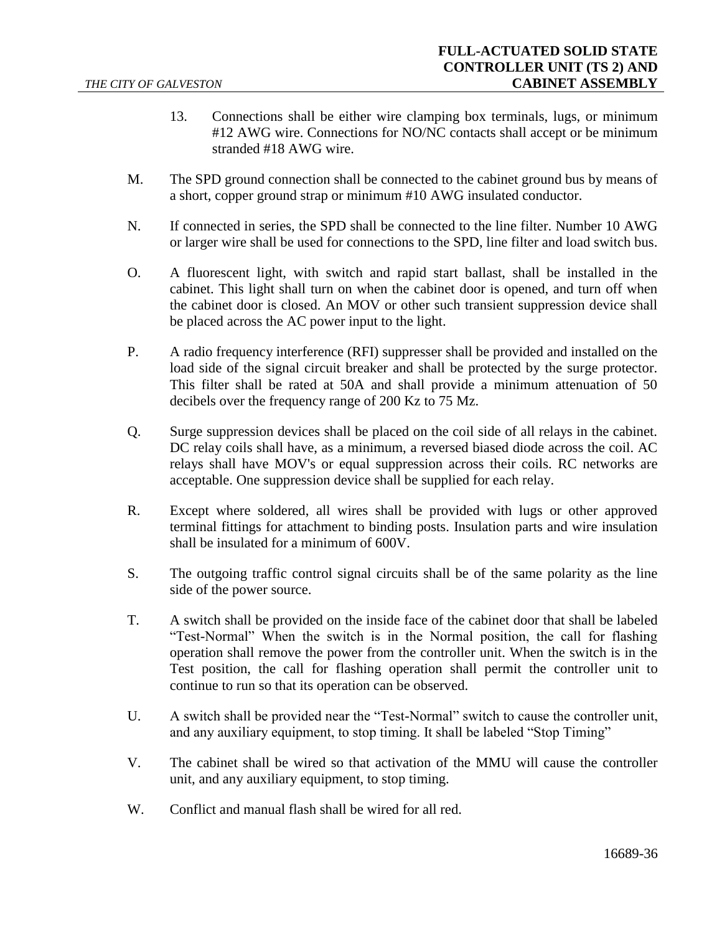- 13. Connections shall be either wire clamping box terminals, lugs, or minimum #12 AWG wire. Connections for NO/NC contacts shall accept or be minimum stranded #18 AWG wire.
- M. The SPD ground connection shall be connected to the cabinet ground bus by means of a short, copper ground strap or minimum #10 AWG insulated conductor.
- N. If connected in series, the SPD shall be connected to the line filter. Number 10 AWG or larger wire shall be used for connections to the SPD, line filter and load switch bus.
- O. A fluorescent light, with switch and rapid start ballast, shall be installed in the cabinet. This light shall turn on when the cabinet door is opened, and turn off when the cabinet door is closed. An MOV or other such transient suppression device shall be placed across the AC power input to the light.
- P. A radio frequency interference (RFI) suppresser shall be provided and installed on the load side of the signal circuit breaker and shall be protected by the surge protector. This filter shall be rated at 50A and shall provide a minimum attenuation of 50 decibels over the frequency range of 200 Kz to 75 Mz.
- Q. Surge suppression devices shall be placed on the coil side of all relays in the cabinet. DC relay coils shall have, as a minimum, a reversed biased diode across the coil. AC relays shall have MOV's or equal suppression across their coils. RC networks are acceptable. One suppression device shall be supplied for each relay.
- R. Except where soldered, all wires shall be provided with lugs or other approved terminal fittings for attachment to binding posts. Insulation parts and wire insulation shall be insulated for a minimum of 600V.
- S. The outgoing traffic control signal circuits shall be of the same polarity as the line side of the power source.
- T. A switch shall be provided on the inside face of the cabinet door that shall be labeled "Test-Normal" When the switch is in the Normal position, the call for flashing operation shall remove the power from the controller unit. When the switch is in the Test position, the call for flashing operation shall permit the controller unit to continue to run so that its operation can be observed.
- U. A switch shall be provided near the "Test-Normal" switch to cause the controller unit, and any auxiliary equipment, to stop timing. It shall be labeled "Stop Timing"
- V. The cabinet shall be wired so that activation of the MMU will cause the controller unit, and any auxiliary equipment, to stop timing.
- W. Conflict and manual flash shall be wired for all red.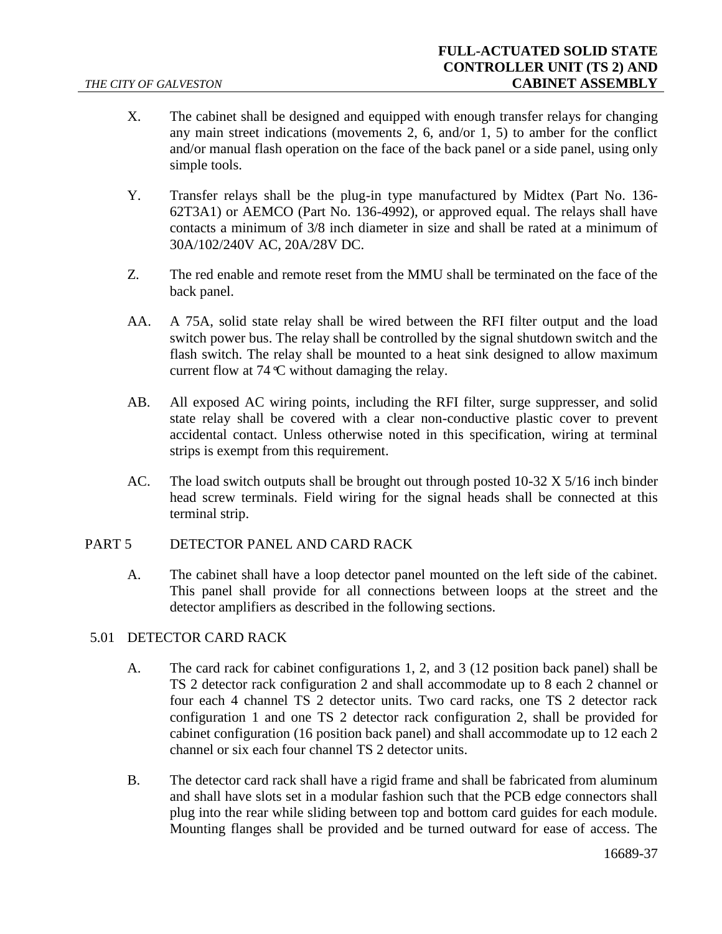- X. The cabinet shall be designed and equipped with enough transfer relays for changing any main street indications (movements 2, 6, and/or 1, 5) to amber for the conflict and/or manual flash operation on the face of the back panel or a side panel, using only simple tools.
- Y. Transfer relays shall be the plug-in type manufactured by Midtex (Part No. 136- 62T3A1) or AEMCO (Part No. 136-4992), or approved equal. The relays shall have contacts a minimum of 3/8 inch diameter in size and shall be rated at a minimum of 30A/102/240V AC, 20A/28V DC.
- Z. The red enable and remote reset from the MMU shall be terminated on the face of the back panel.
- AA. A 75A, solid state relay shall be wired between the RFI filter output and the load switch power bus. The relay shall be controlled by the signal shutdown switch and the flash switch. The relay shall be mounted to a heat sink designed to allow maximum current flow at 74*°*C without damaging the relay.
- AB. All exposed AC wiring points, including the RFI filter, surge suppresser, and solid state relay shall be covered with a clear non-conductive plastic cover to prevent accidental contact. Unless otherwise noted in this specification, wiring at terminal strips is exempt from this requirement.
- AC. The load switch outputs shall be brought out through posted 10-32 X 5/16 inch binder head screw terminals. Field wiring for the signal heads shall be connected at this terminal strip.

# PART 5 DETECTOR PANEL AND CARD RACK

A. The cabinet shall have a loop detector panel mounted on the left side of the cabinet. This panel shall provide for all connections between loops at the street and the detector amplifiers as described in the following sections.

# 5.01 DETECTOR CARD RACK

- A. The card rack for cabinet configurations 1, 2, and 3 (12 position back panel) shall be TS 2 detector rack configuration 2 and shall accommodate up to 8 each 2 channel or four each 4 channel TS 2 detector units. Two card racks, one TS 2 detector rack configuration 1 and one TS 2 detector rack configuration 2, shall be provided for cabinet configuration (16 position back panel) and shall accommodate up to 12 each 2 channel or six each four channel TS 2 detector units.
- B. The detector card rack shall have a rigid frame and shall be fabricated from aluminum and shall have slots set in a modular fashion such that the PCB edge connectors shall plug into the rear while sliding between top and bottom card guides for each module. Mounting flanges shall be provided and be turned outward for ease of access. The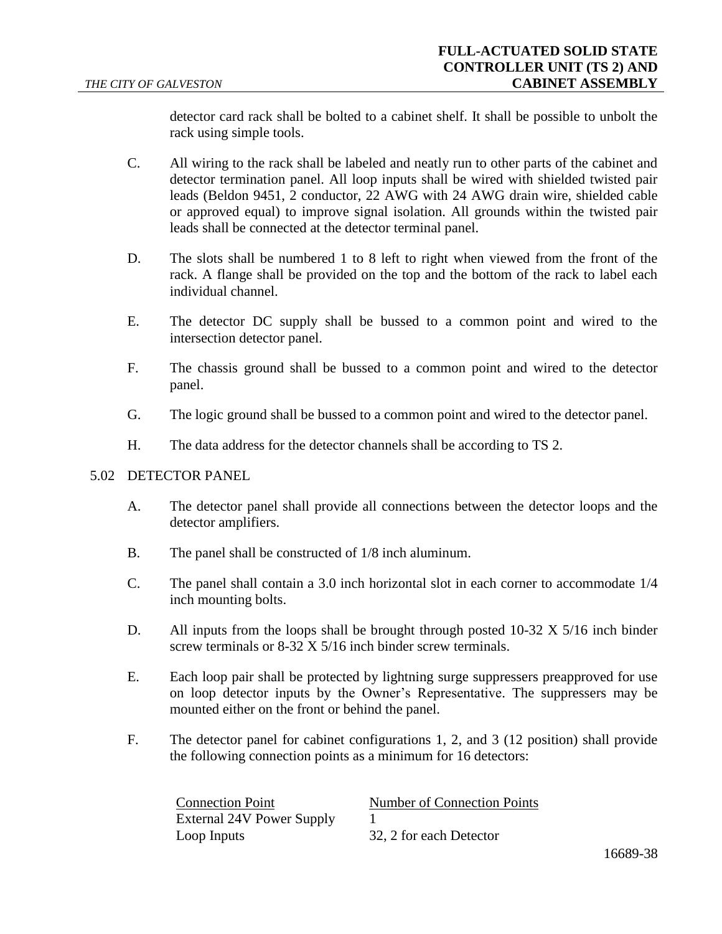detector card rack shall be bolted to a cabinet shelf. It shall be possible to unbolt the rack using simple tools.

- C. All wiring to the rack shall be labeled and neatly run to other parts of the cabinet and detector termination panel. All loop inputs shall be wired with shielded twisted pair leads (Beldon 9451, 2 conductor, 22 AWG with 24 AWG drain wire, shielded cable or approved equal) to improve signal isolation. All grounds within the twisted pair leads shall be connected at the detector terminal panel.
- D. The slots shall be numbered 1 to 8 left to right when viewed from the front of the rack. A flange shall be provided on the top and the bottom of the rack to label each individual channel.
- E. The detector DC supply shall be bussed to a common point and wired to the intersection detector panel.
- F. The chassis ground shall be bussed to a common point and wired to the detector panel.
- G. The logic ground shall be bussed to a common point and wired to the detector panel.
- H. The data address for the detector channels shall be according to TS 2.

### 5.02 DETECTOR PANEL

- A. The detector panel shall provide all connections between the detector loops and the detector amplifiers.
- B. The panel shall be constructed of 1/8 inch aluminum.
- C. The panel shall contain a 3.0 inch horizontal slot in each corner to accommodate 1/4 inch mounting bolts.
- D. All inputs from the loops shall be brought through posted 10-32 X 5/16 inch binder screw terminals or 8-32 X 5/16 inch binder screw terminals.
- E. Each loop pair shall be protected by lightning surge suppressers preapproved for use on loop detector inputs by the Owner's Representative. The suppressers may be mounted either on the front or behind the panel.
- F. The detector panel for cabinet configurations 1, 2, and 3 (12 position) shall provide the following connection points as a minimum for 16 detectors:

| <b>Connection Point</b>   | Number of Connection Points |
|---------------------------|-----------------------------|
| External 24V Power Supply |                             |
| Loop Inputs               | 32, 2 for each Detector     |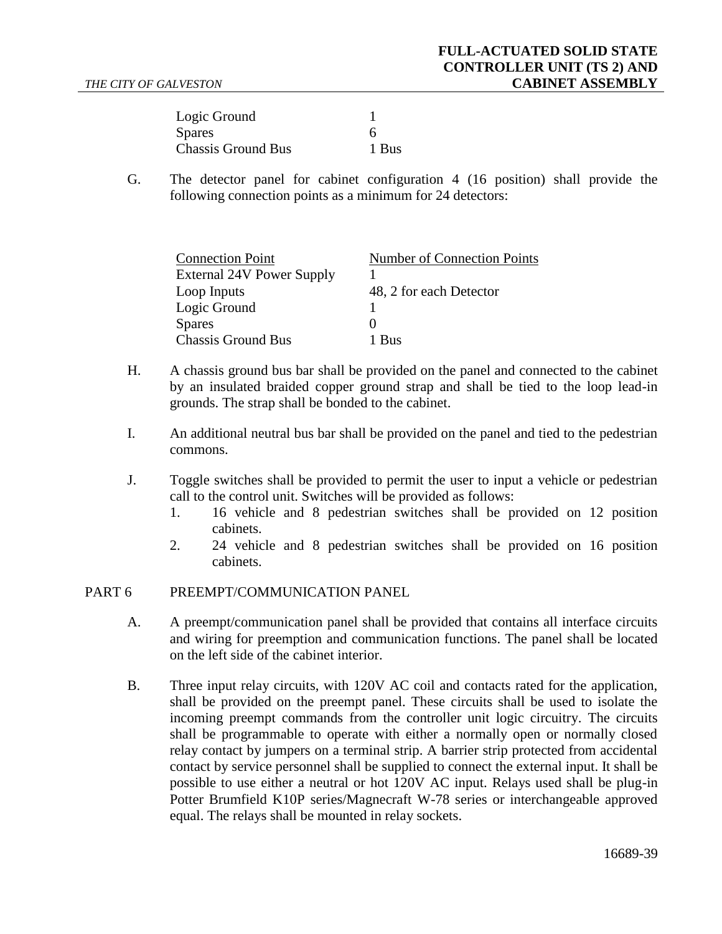| Logic Ground              |       |
|---------------------------|-------|
| <b>Spares</b>             | h     |
| <b>Chassis Ground Bus</b> | 1 Bus |

G. The detector panel for cabinet configuration 4 (16 position) shall provide the following connection points as a minimum for 24 detectors:

| <b>Connection Point</b>   | <b>Number of Connection Points</b> |
|---------------------------|------------------------------------|
| External 24V Power Supply |                                    |
| Loop Inputs               | 48, 2 for each Detector            |
| Logic Ground              |                                    |
| <b>Spares</b>             |                                    |
| <b>Chassis Ground Bus</b> | <b>Bus</b>                         |

- H. A chassis ground bus bar shall be provided on the panel and connected to the cabinet by an insulated braided copper ground strap and shall be tied to the loop lead-in grounds. The strap shall be bonded to the cabinet.
- I. An additional neutral bus bar shall be provided on the panel and tied to the pedestrian commons.
- J. Toggle switches shall be provided to permit the user to input a vehicle or pedestrian call to the control unit. Switches will be provided as follows:
	- 1. 16 vehicle and 8 pedestrian switches shall be provided on 12 position cabinets.
	- 2. 24 vehicle and 8 pedestrian switches shall be provided on 16 position cabinets.

### PART 6 PREEMPT/COMMUNICATION PANEL

- A. A preempt/communication panel shall be provided that contains all interface circuits and wiring for preemption and communication functions. The panel shall be located on the left side of the cabinet interior.
- B. Three input relay circuits, with 120V AC coil and contacts rated for the application, shall be provided on the preempt panel. These circuits shall be used to isolate the incoming preempt commands from the controller unit logic circuitry. The circuits shall be programmable to operate with either a normally open or normally closed relay contact by jumpers on a terminal strip. A barrier strip protected from accidental contact by service personnel shall be supplied to connect the external input. It shall be possible to use either a neutral or hot 120V AC input. Relays used shall be plug-in Potter Brumfield K10P series/Magnecraft W-78 series or interchangeable approved equal. The relays shall be mounted in relay sockets.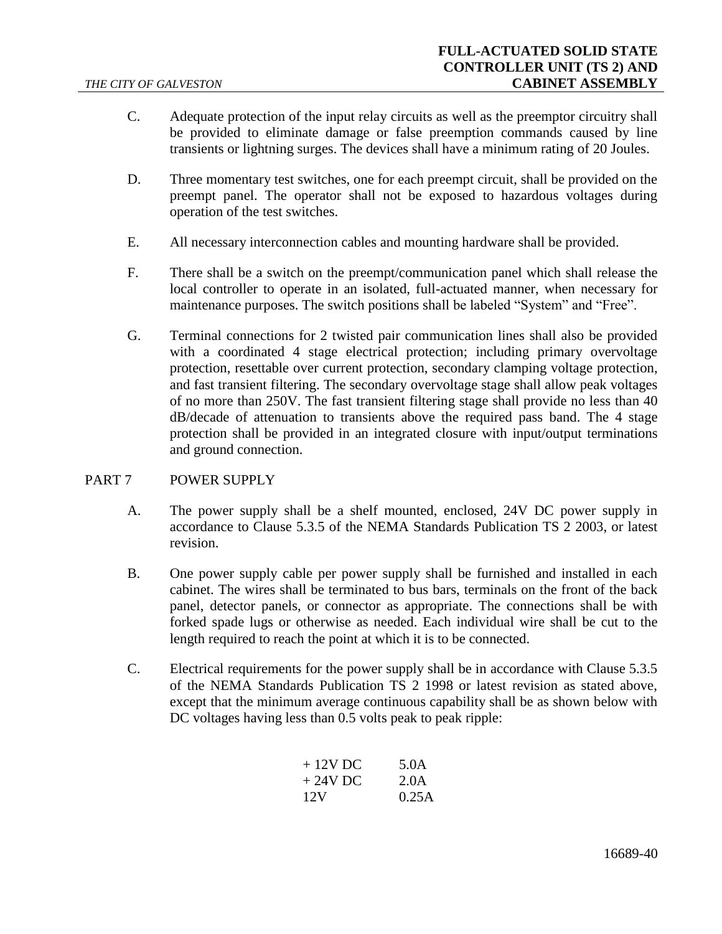- C. Adequate protection of the input relay circuits as well as the preemptor circuitry shall be provided to eliminate damage or false preemption commands caused by line transients or lightning surges. The devices shall have a minimum rating of 20 Joules.
- D. Three momentary test switches, one for each preempt circuit, shall be provided on the preempt panel. The operator shall not be exposed to hazardous voltages during operation of the test switches.
- E. All necessary interconnection cables and mounting hardware shall be provided.
- F. There shall be a switch on the preempt/communication panel which shall release the local controller to operate in an isolated, full-actuated manner, when necessary for maintenance purposes. The switch positions shall be labeled "System" and "Free".
- G. Terminal connections for 2 twisted pair communication lines shall also be provided with a coordinated 4 stage electrical protection; including primary overvoltage protection, resettable over current protection, secondary clamping voltage protection, and fast transient filtering. The secondary overvoltage stage shall allow peak voltages of no more than 250V. The fast transient filtering stage shall provide no less than 40 dB/decade of attenuation to transients above the required pass band. The 4 stage protection shall be provided in an integrated closure with input/output terminations and ground connection.

## PART 7 POWER SUPPLY

- A. The power supply shall be a shelf mounted, enclosed, 24V DC power supply in accordance to Clause 5.3.5 of the NEMA Standards Publication TS 2 2003, or latest revision.
- B. One power supply cable per power supply shall be furnished and installed in each cabinet. The wires shall be terminated to bus bars, terminals on the front of the back panel, detector panels, or connector as appropriate. The connections shall be with forked spade lugs or otherwise as needed. Each individual wire shall be cut to the length required to reach the point at which it is to be connected.
- C. Electrical requirements for the power supply shall be in accordance with Clause 5.3.5 of the NEMA Standards Publication TS 2 1998 or latest revision as stated above, except that the minimum average continuous capability shall be as shown below with DC voltages having less than 0.5 volts peak to peak ripple:

| $+12V$ DC | 5.0A  |
|-----------|-------|
| $+24V$ DC | 2.0A  |
| 12V       | 0.25A |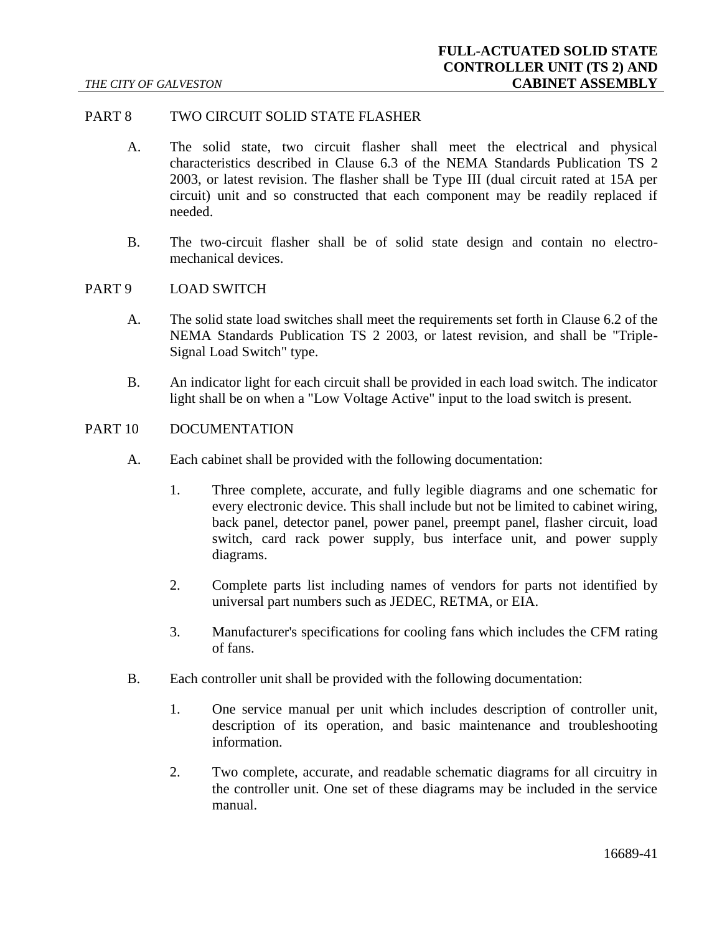## PART 8 TWO CIRCUIT SOLID STATE FLASHER

- A. The solid state, two circuit flasher shall meet the electrical and physical characteristics described in Clause 6.3 of the NEMA Standards Publication TS 2 2003, or latest revision. The flasher shall be Type III (dual circuit rated at 15A per circuit) unit and so constructed that each component may be readily replaced if needed.
- B. The two-circuit flasher shall be of solid state design and contain no electromechanical devices.

#### PART 9 LOAD SWITCH

- A. The solid state load switches shall meet the requirements set forth in Clause 6.2 of the NEMA Standards Publication TS 2 2003, or latest revision, and shall be "Triple-Signal Load Switch" type.
- B. An indicator light for each circuit shall be provided in each load switch. The indicator light shall be on when a "Low Voltage Active" input to the load switch is present.

### PART 10 DOCUMENTATION

- A. Each cabinet shall be provided with the following documentation:
	- 1. Three complete, accurate, and fully legible diagrams and one schematic for every electronic device. This shall include but not be limited to cabinet wiring, back panel, detector panel, power panel, preempt panel, flasher circuit, load switch, card rack power supply, bus interface unit, and power supply diagrams.
	- 2. Complete parts list including names of vendors for parts not identified by universal part numbers such as JEDEC, RETMA, or EIA.
	- 3. Manufacturer's specifications for cooling fans which includes the CFM rating of fans.
- B. Each controller unit shall be provided with the following documentation:
	- 1. One service manual per unit which includes description of controller unit, description of its operation, and basic maintenance and troubleshooting information.
	- 2. Two complete, accurate, and readable schematic diagrams for all circuitry in the controller unit. One set of these diagrams may be included in the service manual.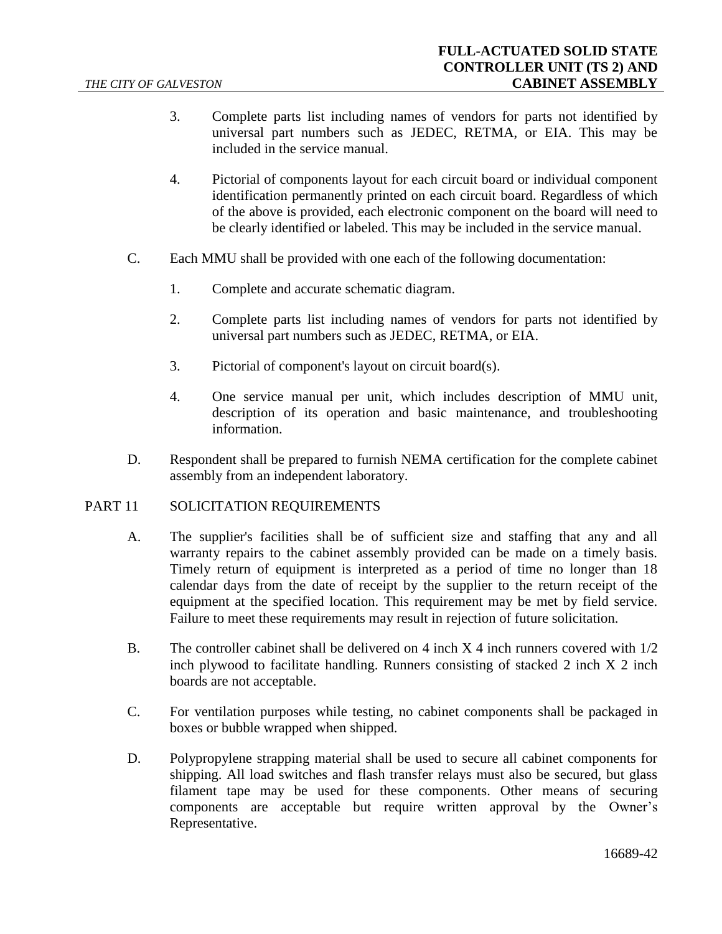- 3. Complete parts list including names of vendors for parts not identified by universal part numbers such as JEDEC, RETMA, or EIA. This may be included in the service manual.
- 4. Pictorial of components layout for each circuit board or individual component identification permanently printed on each circuit board. Regardless of which of the above is provided, each electronic component on the board will need to be clearly identified or labeled. This may be included in the service manual.
- C. Each MMU shall be provided with one each of the following documentation:
	- 1. Complete and accurate schematic diagram.
	- 2. Complete parts list including names of vendors for parts not identified by universal part numbers such as JEDEC, RETMA, or EIA.
	- 3. Pictorial of component's layout on circuit board(s).
	- 4. One service manual per unit, which includes description of MMU unit, description of its operation and basic maintenance, and troubleshooting information.
- D. Respondent shall be prepared to furnish NEMA certification for the complete cabinet assembly from an independent laboratory.

### PART 11 SOLICITATION REQUIREMENTS

- A. The supplier's facilities shall be of sufficient size and staffing that any and all warranty repairs to the cabinet assembly provided can be made on a timely basis. Timely return of equipment is interpreted as a period of time no longer than 18 calendar days from the date of receipt by the supplier to the return receipt of the equipment at the specified location. This requirement may be met by field service. Failure to meet these requirements may result in rejection of future solicitation.
- B. The controller cabinet shall be delivered on 4 inch  $X$  4 inch runners covered with  $1/2$ inch plywood to facilitate handling. Runners consisting of stacked 2 inch X 2 inch boards are not acceptable.
- C. For ventilation purposes while testing, no cabinet components shall be packaged in boxes or bubble wrapped when shipped.
- D. Polypropylene strapping material shall be used to secure all cabinet components for shipping. All load switches and flash transfer relays must also be secured, but glass filament tape may be used for these components. Other means of securing components are acceptable but require written approval by the Owner's Representative.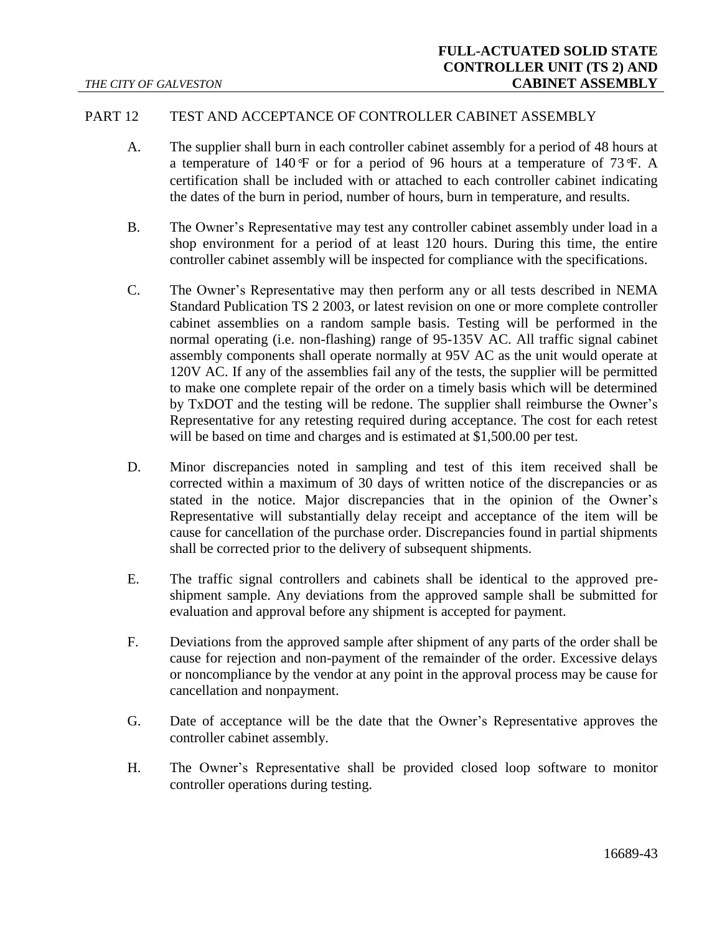## PART 12 TEST AND ACCEPTANCE OF CONTROLLER CABINET ASSEMBLY

- A. The supplier shall burn in each controller cabinet assembly for a period of 48 hours at a temperature of 140*°*F or for a period of 96 hours at a temperature of 73*°*F. A certification shall be included with or attached to each controller cabinet indicating the dates of the burn in period, number of hours, burn in temperature, and results.
- B. The Owner's Representative may test any controller cabinet assembly under load in a shop environment for a period of at least 120 hours. During this time, the entire controller cabinet assembly will be inspected for compliance with the specifications.
- C. The Owner's Representative may then perform any or all tests described in NEMA Standard Publication TS 2 2003, or latest revision on one or more complete controller cabinet assemblies on a random sample basis. Testing will be performed in the normal operating (i.e. non-flashing) range of 95-135V AC. All traffic signal cabinet assembly components shall operate normally at 95V AC as the unit would operate at 120V AC. If any of the assemblies fail any of the tests, the supplier will be permitted to make one complete repair of the order on a timely basis which will be determined by TxDOT and the testing will be redone. The supplier shall reimburse the Owner's Representative for any retesting required during acceptance. The cost for each retest will be based on time and charges and is estimated at \$1,500.00 per test.
- D. Minor discrepancies noted in sampling and test of this item received shall be corrected within a maximum of 30 days of written notice of the discrepancies or as stated in the notice. Major discrepancies that in the opinion of the Owner's Representative will substantially delay receipt and acceptance of the item will be cause for cancellation of the purchase order. Discrepancies found in partial shipments shall be corrected prior to the delivery of subsequent shipments.
- E. The traffic signal controllers and cabinets shall be identical to the approved preshipment sample. Any deviations from the approved sample shall be submitted for evaluation and approval before any shipment is accepted for payment.
- F. Deviations from the approved sample after shipment of any parts of the order shall be cause for rejection and non-payment of the remainder of the order. Excessive delays or noncompliance by the vendor at any point in the approval process may be cause for cancellation and nonpayment.
- G. Date of acceptance will be the date that the Owner's Representative approves the controller cabinet assembly.
- H. The Owner's Representative shall be provided closed loop software to monitor controller operations during testing.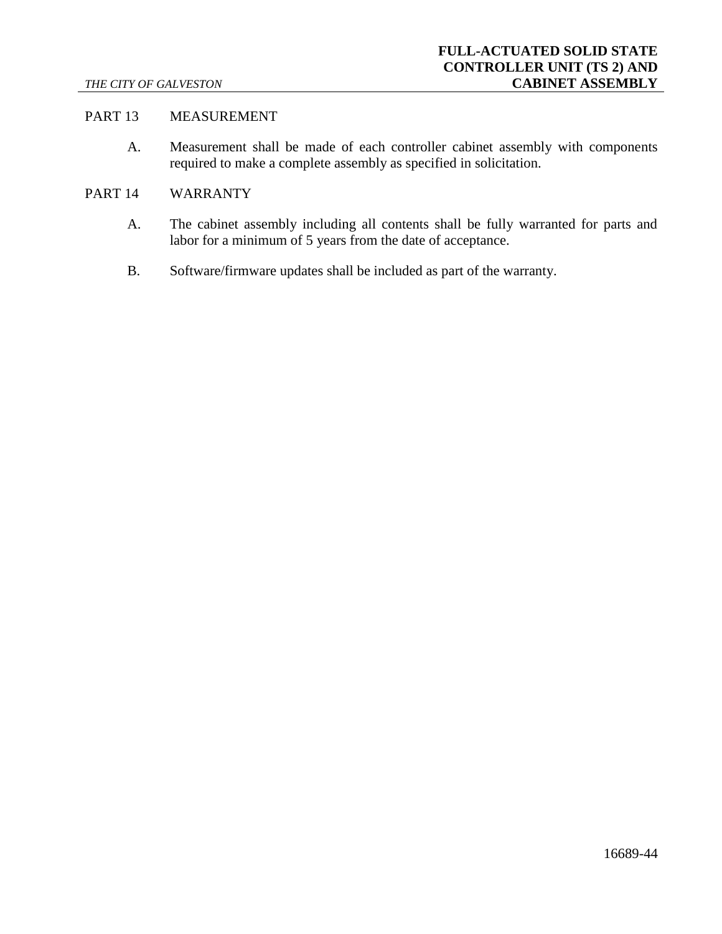## PART 13 MEASUREMENT

A. Measurement shall be made of each controller cabinet assembly with components required to make a complete assembly as specified in solicitation.

#### PART 14 WARRANTY

- A. The cabinet assembly including all contents shall be fully warranted for parts and labor for a minimum of 5 years from the date of acceptance.
- B. Software/firmware updates shall be included as part of the warranty.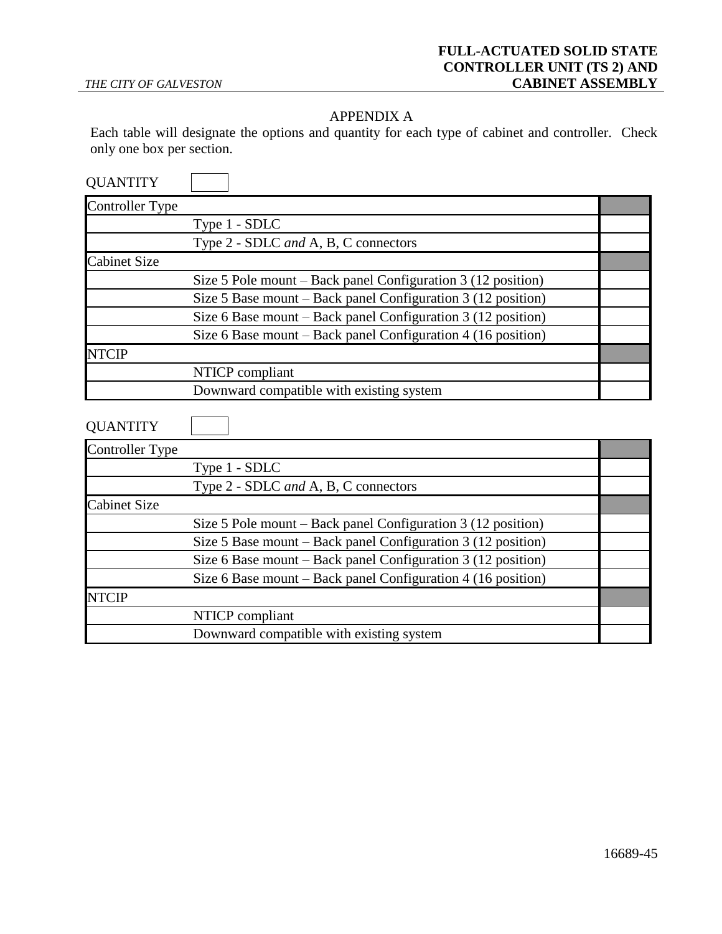## APPENDIX A

Each table will designate the options and quantity for each type of cabinet and controller. Check only one box per section.

| <b>QUANTITY</b>        |                                                                         |  |
|------------------------|-------------------------------------------------------------------------|--|
| <b>Controller Type</b> |                                                                         |  |
|                        | Type 1 - SDLC                                                           |  |
|                        | Type 2 - SDLC and A, B, C connectors                                    |  |
| <b>Cabinet Size</b>    |                                                                         |  |
|                        | Size $5$ Pole mount – Back panel Configuration $3(12 \text{ position})$ |  |
|                        | Size 5 Base mount – Back panel Configuration 3 (12 position)            |  |
|                        | Size 6 Base mount - Back panel Configuration 3 (12 position)            |  |
|                        | Size 6 Base mount – Back panel Configuration 4 (16 position)            |  |
| <b>NTCIP</b>           |                                                                         |  |
|                        | NTICP compliant                                                         |  |
|                        | Downward compatible with existing system                                |  |
| <b>QUANTITY</b>        |                                                                         |  |
| <b>Controller Type</b> |                                                                         |  |
|                        | Type 1 - SDLC                                                           |  |
|                        | Type 2 - SDLC and A, B, C connectors                                    |  |
| <b>Cabinet Size</b>    |                                                                         |  |
|                        | Size 5 Pole mount – Back panel Configuration 3 (12 position)            |  |
|                        | Size 5 Base mount – Back panel Configuration 3 (12 position)            |  |
|                        | Size 6 Base mount – Back panel Configuration 3 (12 position)            |  |
|                        | Size 6 Base mount – Back panel Configuration 4 (16 position)            |  |
| <b>NTCIP</b>           |                                                                         |  |
|                        |                                                                         |  |
|                        | NTICP compliant                                                         |  |